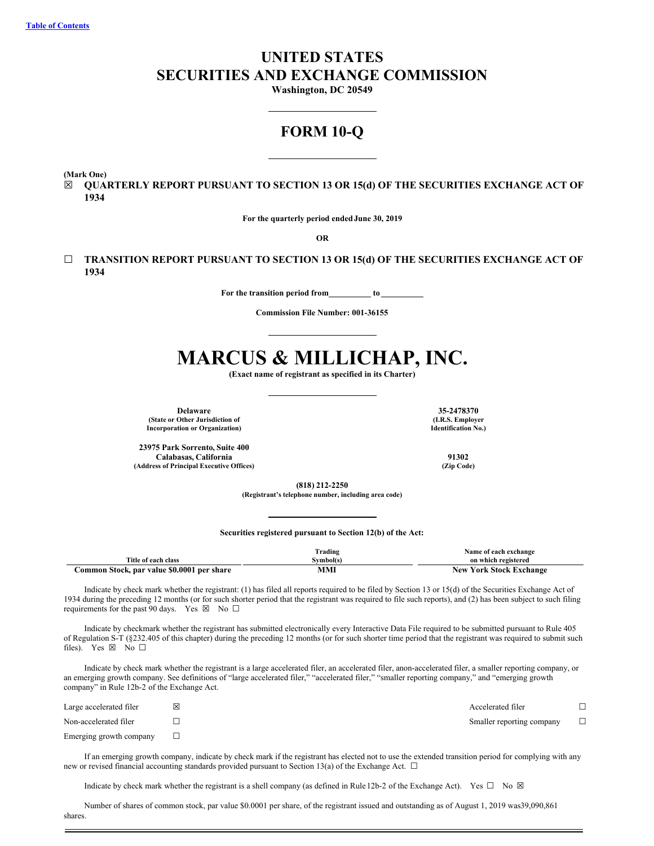## **UNITED STATES SECURITIES AND EXCHANGE COMMISSION**

**Washington, DC 20549**

## **FORM 10-Q**

**(Mark One)**

☒ **QUARTERLY REPORT PURSUANT TO SECTION 13 OR 15(d) OF THE SECURITIES EXCHANGE ACT OF 1934**

**For the quarterly period endedJune 30, 2019**

**OR**

☐ **TRANSITION REPORT PURSUANT TO SECTION 13 OR 15(d) OF THE SECURITIES EXCHANGE ACT OF 1934**

**For the transition period from to**

**Commission File Number: 001-36155**

# **MARCUS & MILLICHAP, INC.**

**(Exact name of registrant as specified in its Charter)**

**Delaware 35-2478370**<br> **1.R.S. Employer 1.R.S. Employer 1.R.S. Employer (State or Other Jurisdiction of (I.R.S. Employer Incorporation** or **Organization**)

**23975 Park Sorrento, Suite 400 Calabasas, California 91302**  $(Address of Principal Executive Office)$ 

**(818) 212-2250**

**(Registrant's telephone number, including area code)**

#### **Securities registered pursuant to Section 12(b) of the Act:**

|                                            | Trading   | Name of each exchange          |
|--------------------------------------------|-----------|--------------------------------|
| Title of each class                        | Svmbol(s) | on which registered            |
| Common Stock, par value \$0.0001 per share | MMI       | <b>New York Stock Exchange</b> |

Indicate by check mark whether the registrant: (1) has filed all reports required to be filed by Section 13 or 15(d) of the Securities Exchange Act of 1934 during the preceding 12 months (or for such shorter period that the registrant was required to file such reports), and (2) has been subject to such filing requirements for the past 90 days. Yes  $\boxtimes$  No  $\Box$ 

Indicate by checkmark whether the registrant has submitted electronically every Interactive Data File required to be submitted pursuant to Rule 405 of Regulation S-T (§232.405 of this chapter) during the preceding 12 months (or for such shorter time period that the registrant was required to submit such files). Yes  $\boxtimes$  No  $\square$ 

Indicate by check mark whether the registrant is a large accelerated filer, an accelerated filer, anon-accelerated filer, a smaller reporting company, or an emerging growth company. See definitions of "large accelerated filer," "accelerated filer," "smaller reporting company," and "emerging growth company" in Rule 12b-2 of the Exchange Act.

| Large accelerated filer | × | Accelerated filer         |  |
|-------------------------|---|---------------------------|--|
| Non-accelerated filer   |   | Smaller reporting company |  |
| Emerging growth company |   |                           |  |

If an emerging growth company, indicate by check mark if the registrant has elected not to use the extended transition period for complying with any new or revised financial accounting standards provided pursuant to Section 13(a) of the Exchange Act.  $\Box$ 

Indicate by check mark whether the registrant is a shell company (as defined in Rule 12b-2 of the Exchange Act). Yes  $\Box$  No  $\boxtimes$ 

Number of shares of common stock, par value \$0.0001 per share, of the registrant issued and outstanding as of August 1, 2019 was39,090,861 shares.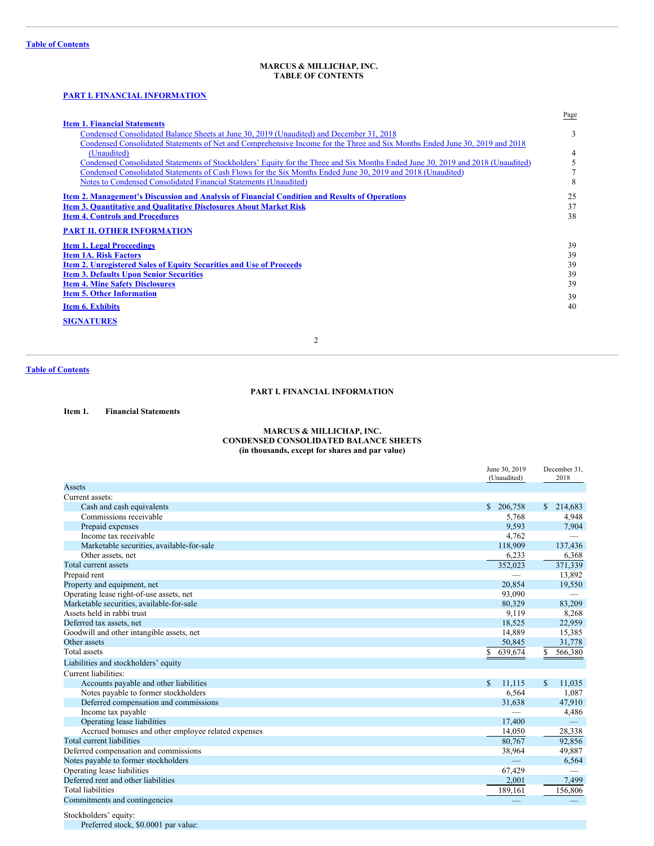#### **MARCUS & MILLICHAP, INC. TABLE OF CONTENTS**

#### <span id="page-1-0"></span>**PART I. FINANCIAL INFORMATION**

|                                                                                                                                 | Page |
|---------------------------------------------------------------------------------------------------------------------------------|------|
| <b>Item 1. Financial Statements</b>                                                                                             |      |
| Condensed Consolidated Balance Sheets at June 30, 2019 (Unaudited) and December 31, 2018                                        | 3    |
| Condensed Consolidated Statements of Net and Comprehensive Income for the Three and Six Months Ended June 30, 2019 and 2018     |      |
| (Unaudited)                                                                                                                     | 4    |
| Condensed Consolidated Statements of Stockholders' Equity for the Three and Six Months Ended June 30, 2019 and 2018 (Unaudited) | 5    |
| Condensed Consolidated Statements of Cash Flows for the Six Months Ended June 30, 2019 and 2018 (Unaudited)                     |      |
| <b>Notes to Condensed Consolidated Financial Statements (Unaudited)</b>                                                         | 8    |
| <b>Item 2. Management's Discussion and Analysis of Financial Condition and Results of Operations</b>                            | 25   |
| <b>Item 3. Quantitative and Qualitative Disclosures About Market Risk</b>                                                       | 37   |
| <b>Item 4. Controls and Procedures</b>                                                                                          | 38   |
| <b>PART II. OTHER INFORMATION</b>                                                                                               |      |
| <b>Item 1. Legal Proceedings</b>                                                                                                | 39   |
| <b>Item 1A. Risk Factors</b>                                                                                                    | 39   |
| <b>Item 2. Unregistered Sales of Equity Securities and Use of Proceeds</b>                                                      | 39   |
| <b>Item 3. Defaults Upon Senior Securities</b>                                                                                  | 39   |
| <b>Item 4. Mine Safety Disclosures</b>                                                                                          | 39   |
| <b>Item 5. Other Information</b>                                                                                                | 39   |
| <b>Item 6. Exhibits</b>                                                                                                         | 40   |
| <b>SIGNATURES</b>                                                                                                               |      |

2

### **Table of [Contents](#page-1-0)**

#### **PART I. FINANCIAL INFORMATION**

#### **Item 1. Financial Statements**

Preferred stock, \$0.0001 par value:

#### **MARCUS & MILLICHAP, INC. CONDENSED CONSOLIDATED BALANCE SHEETS (in thousands, except for shares and par value)**

|                                                     | June 30, 2019<br>(Unaudited) | December 31,<br>2018 |
|-----------------------------------------------------|------------------------------|----------------------|
| Assets                                              |                              |                      |
| Current assets:                                     |                              |                      |
| Cash and cash equivalents                           | 206,758<br>$\mathbb{S}$      | \$<br>214,683        |
| Commissions receivable                              | 5,768                        | 4,948                |
| Prepaid expenses                                    | 9,593                        | 7,904                |
| Income tax receivable                               | 4,762                        |                      |
| Marketable securities, available-for-sale           | 118,909                      | 137,436              |
| Other assets, net                                   | 6,233                        | 6,368                |
| Total current assets                                | 352,023                      | 371,339              |
| Prepaid rent                                        |                              | 13,892               |
| Property and equipment, net                         | 20.854                       | 19,550               |
| Operating lease right-of-use assets, net            | 93,090                       |                      |
| Marketable securities, available-for-sale           | 80,329                       | 83,209               |
| Assets held in rabbi trust                          | 9,119                        | 8,268                |
| Deferred tax assets, net                            | 18,525                       | 22,959               |
| Goodwill and other intangible assets, net           | 14,889                       | 15,385               |
| Other assets                                        | 50,845                       | 31,778               |
| <b>Total assets</b>                                 | S.<br>639,674                | 566,380<br>\$.       |
| Liabilities and stockholders' equity                |                              |                      |
| Current liabilities:                                |                              |                      |
| Accounts payable and other liabilities              | S<br>11,115                  | \$<br>11,035         |
| Notes payable to former stockholders                | 6,564                        | 1,087                |
| Deferred compensation and commissions               | 31,638                       | 47,910               |
| Income tax payable                                  |                              | 4,486                |
| Operating lease liabilities                         | 17,400                       |                      |
| Accrued bonuses and other employee related expenses | 14,050                       | 28,338               |
| Total current liabilities                           | 80,767                       | 92,856               |
| Deferred compensation and commissions               | 38,964                       | 49,887               |
| Notes payable to former stockholders                |                              | 6,564                |
| Operating lease liabilities                         | 67,429                       |                      |
| Deferred rent and other liabilities                 | 2,001                        | 7,499                |
| <b>Total liabilities</b>                            | 189,161                      | 156,806              |
| Commitments and contingencies                       |                              |                      |
| Stockholders' equity:                               |                              |                      |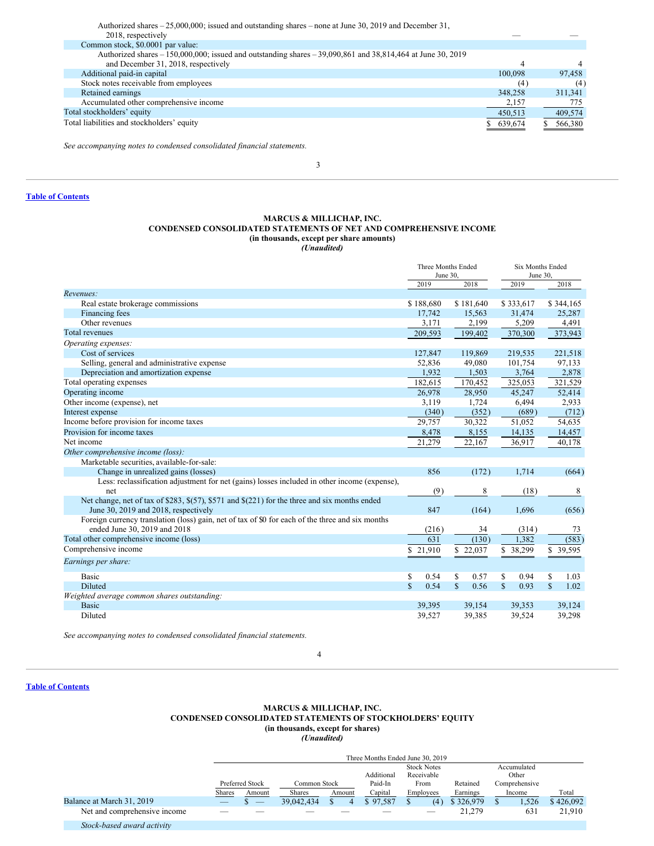| Authorized shares $-25,000,000$ ; issued and outstanding shares – none at June 30, 2019 and December 31,    |           |         |
|-------------------------------------------------------------------------------------------------------------|-----------|---------|
| 2018, respectively                                                                                          |           |         |
| Common stock, \$0,0001 par value:                                                                           |           |         |
| Authorized shares – 150,000,000; issued and outstanding shares – 39,090,861 and 38,814,464 at June 30, 2019 |           |         |
| and December 31, 2018, respectively                                                                         |           |         |
| Additional paid-in capital                                                                                  | 100,098   | 97.458  |
| Stock notes receivable from employees                                                                       | (4)       | (4)     |
| Retained earnings                                                                                           | 348,258   | 311,341 |
| Accumulated other comprehensive income                                                                      | 2,157     | 775     |
| Total stockholders' equity                                                                                  | 450,513   | 409,574 |
| Total liabilities and stockholders' equity                                                                  | \$639,674 | 566,380 |
|                                                                                                             |           |         |

*See accompanying notes to condensed consolidated financial statements.*

3

#### **Table of [Contents](#page-1-0)**

#### **MARCUS & MILLICHAP, INC. CONDENSED CONSOLIDATED STATEMENTS OF NET AND COMPREHENSIVE INCOME (in thousands, except per share amounts)** *(Unaudited)*

<span id="page-2-0"></span>

|                                                                                                                                                | Three Months Ended<br>June 30. |                      | <b>Six Months Ended</b><br>June 30. |                      |
|------------------------------------------------------------------------------------------------------------------------------------------------|--------------------------------|----------------------|-------------------------------------|----------------------|
|                                                                                                                                                | 2019                           | 2018                 | 2019                                | 2018                 |
| Revenues:                                                                                                                                      |                                |                      |                                     |                      |
| Real estate brokerage commissions                                                                                                              | \$188,680                      | \$181,640            | \$333,617                           | \$344,165            |
| Financing fees                                                                                                                                 | 17,742                         | 15,563               | 31,474                              | 25,287               |
| Other revenues                                                                                                                                 | 3,171                          | 2,199                | 5,209                               | 4,491                |
| <b>Total revenues</b>                                                                                                                          | 209,593                        | 199,402              | 370,300                             | 373,943              |
| Operating expenses:                                                                                                                            |                                |                      |                                     |                      |
| Cost of services                                                                                                                               | 127,847                        | 119,869              | 219,535                             | 221,518              |
| Selling, general and administrative expense                                                                                                    | 52,836                         | 49,080               | 101,754                             | 97,133               |
| Depreciation and amortization expense                                                                                                          | 1,932                          | 1,503                | 3,764                               | 2,878                |
| Total operating expenses                                                                                                                       | 182,615                        | 170,452              | 325,053                             | 321,529              |
| Operating income                                                                                                                               | 26,978                         | 28,950               | 45,247                              | 52,414               |
| Other income (expense), net                                                                                                                    | 3,119                          | 1,724                | 6,494                               | 2,933                |
| Interest expense                                                                                                                               | (340)                          | (352)                | (689)                               | (712)                |
| Income before provision for income taxes                                                                                                       | 29,757                         | 30,322               | 51,052                              | 54,635               |
| Provision for income taxes                                                                                                                     | 8,478                          | 8,155                | 14,135                              | 14,457               |
| Net income                                                                                                                                     | 21,279                         | 22,167               | 36,917                              | 40,178               |
| Other comprehensive income (loss):                                                                                                             |                                |                      |                                     |                      |
| Marketable securities, available-for-sale:                                                                                                     |                                |                      |                                     |                      |
| Change in unrealized gains (losses)                                                                                                            | 856                            | (172)                | 1,714                               | (664)                |
| Less: reclassification adjustment for net (gains) losses included in other income (expense),                                                   |                                |                      |                                     |                      |
| net                                                                                                                                            | (9)                            | 8                    | (18)                                | 8                    |
| Net change, net of tax of \$283, $\frac{5}{57}$ , \$571 and \$(221) for the three and six months ended<br>June 30, 2019 and 2018, respectively | 847                            | (164)                | 1,696                               | (656)                |
| Foreign currency translation (loss) gain, net of tax of \$0 for each of the three and six months                                               |                                |                      |                                     |                      |
| ended June 30, 2019 and 2018                                                                                                                   | (216)                          | 34                   | (314)                               | 73                   |
| Total other comprehensive income (loss)                                                                                                        | 631                            | (130)                | 1.382                               | (583)                |
| Comprehensive income                                                                                                                           | \$21,910                       | \$22,037             | \$38,299                            | \$ 39,595            |
| Earnings per share:                                                                                                                            |                                |                      |                                     |                      |
| <b>Basic</b>                                                                                                                                   | <sup>\$</sup><br>0.54          | S<br>0.57            | S<br>0.94                           | \$<br>1.03           |
| <b>Diluted</b>                                                                                                                                 | $\mathbf{\hat{S}}$<br>0.54     | $\mathbf{s}$<br>0.56 | $\mathbf{\hat{s}}$<br>0.93          | $\mathbf{s}$<br>1.02 |
| Weighted average common shares outstanding:                                                                                                    |                                |                      |                                     |                      |
| <b>Basic</b>                                                                                                                                   | 39,395                         | 39,154               | 39,353                              | 39,124               |
| Diluted                                                                                                                                        | 39,527                         | 39,385               | 39,524                              | 39,298               |

*See accompanying notes to condensed consolidated financial statements.*

#### **Table of [Contents](#page-1-0)**

#### **MARCUS & MILLICHAP, INC. CONDENSED CONSOLIDATED STATEMENTS OF STOCKHOLDERS' EQUITY (in thousands, except for shares)**

4

*(Unaudited)*

<span id="page-2-1"></span>

|                              |                 | Three Months Ended June 30, 2019 |               |        |            |                    |           |               |           |  |  |  |  |
|------------------------------|-----------------|----------------------------------|---------------|--------|------------|--------------------|-----------|---------------|-----------|--|--|--|--|
|                              |                 |                                  |               |        |            | <b>Stock Notes</b> |           | Accumulated   |           |  |  |  |  |
|                              |                 |                                  |               |        | Additional | Receivable         |           | Other         |           |  |  |  |  |
|                              | Preferred Stock |                                  | Common Stock  |        | Paid-In    | From               | Retained  | Comprehensive |           |  |  |  |  |
|                              | Shares          | Amount                           | <b>Shares</b> | Amount | Capital    | Employees          | Earnings  | Income        | Total     |  |  |  |  |
| Balance at March 31, 2019    | _               | $\hspace{0.1mm}-\hspace{0.1mm}$  | 39,042,434    | 4      | \$97.587   | (4)                | \$326,979 | 1,526         | \$426,092 |  |  |  |  |
| Net and comprehensive income |                 |                                  |               |        |            |                    | 21,279    | 631           | 21,910    |  |  |  |  |
| Stock-based award activity   |                 |                                  |               |        |            |                    |           |               |           |  |  |  |  |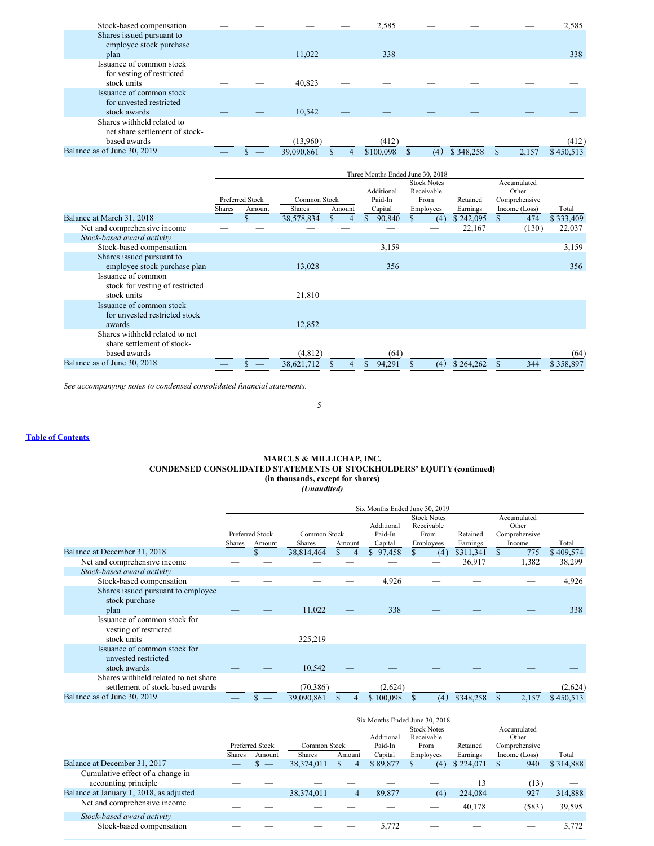| Stock-based compensation                                                     |  |            |   | 2,585     |     |           |       | 2,585     |
|------------------------------------------------------------------------------|--|------------|---|-----------|-----|-----------|-------|-----------|
| Shares issued pursuant to<br>employee stock purchase                         |  |            |   |           |     |           |       |           |
| plan                                                                         |  | 11.022     |   | 338       |     |           |       | 338       |
| Issuance of common stock<br>for vesting of restricted                        |  |            |   |           |     |           |       |           |
| stock units                                                                  |  | 40,823     |   |           |     |           |       |           |
| Issuance of common stock<br>for unvested restricted<br>stock awards          |  | 10,542     |   |           |     |           |       |           |
| Shares withheld related to<br>net share settlement of stock-<br>based awards |  |            |   |           |     |           |       |           |
|                                                                              |  | (13,960)   |   | (412)     |     |           |       | (412)     |
| Balance as of June 30, 2019                                                  |  | 39,090,861 | 4 | \$100,098 | (4) | \$348,258 | 2.157 | \$450.513 |

|                                 |        | Three Months Ended June 30, 2018 |               |        |              |                    |           |               |           |  |  |
|---------------------------------|--------|----------------------------------|---------------|--------|--------------|--------------------|-----------|---------------|-----------|--|--|
|                                 |        |                                  |               |        |              | <b>Stock Notes</b> |           | Accumulated   |           |  |  |
|                                 |        |                                  |               |        | Additional   | Receivable         |           | Other         |           |  |  |
|                                 |        | Preferred Stock                  | Common Stock  |        | Paid-In      | From               | Retained  | Comprehensive |           |  |  |
|                                 | Shares | Amount                           | <b>Shares</b> | Amount | Capital      | Employees          | Earnings  | Income (Loss) | Total     |  |  |
| Balance at March 31, 2018       |        | \$                               | 38,578,834    | 4      | 90,840<br>\$ | S.<br>(4)          | \$242,095 | 474<br>\$     | \$333,409 |  |  |
| Net and comprehensive income    |        |                                  |               |        |              |                    | 22,167    | (130)         | 22,037    |  |  |
| Stock-based award activity      |        |                                  |               |        |              |                    |           |               |           |  |  |
| Stock-based compensation        |        |                                  |               |        | 3,159        |                    |           |               | 3,159     |  |  |
| Shares issued pursuant to       |        |                                  |               |        |              |                    |           |               |           |  |  |
| employee stock purchase plan    |        |                                  | 13,028        |        | 356          |                    |           |               | 356       |  |  |
| Issuance of common              |        |                                  |               |        |              |                    |           |               |           |  |  |
| stock for vesting of restricted |        |                                  |               |        |              |                    |           |               |           |  |  |
| stock units                     |        |                                  | 21,810        |        |              |                    |           |               |           |  |  |
| Issuance of common stock        |        |                                  |               |        |              |                    |           |               |           |  |  |
| for unvested restricted stock   |        |                                  |               |        |              |                    |           |               |           |  |  |
| awards                          |        |                                  | 12,852        |        |              |                    |           |               |           |  |  |
| Shares withheld related to net  |        |                                  |               |        |              |                    |           |               |           |  |  |
| share settlement of stock-      |        |                                  |               |        |              |                    |           |               |           |  |  |
| based awards                    |        |                                  | (4,812)       |        | (64)         |                    |           |               | (64)      |  |  |
| Balance as of June 30, 2018     |        |                                  | 38,621,712    |        | 94.291       | (4)                | \$264,262 | 344           | \$358,897 |  |  |
|                                 |        |                                  |               |        |              |                    |           |               |           |  |  |

*See accompanying notes to condensed consolidated financial statements.*

5

**Table of [Contents](#page-1-0)**

#### **MARCUS & MILLICHAP, INC. CONDENSED CONSOLIDATED STATEMENTS OF STOCKHOLDERS' EQUITY (continued) (in thousands, except for shares)** *(Unaudited)*

|                                                                                |        |                           | , 0.0000000000, 0.000000      |        |                                |                                  |                      |                         |           |
|--------------------------------------------------------------------------------|--------|---------------------------|-------------------------------|--------|--------------------------------|----------------------------------|----------------------|-------------------------|-----------|
|                                                                                |        |                           |                               |        | Six Months Ended June 30, 2019 |                                  |                      |                         |           |
|                                                                                |        |                           |                               |        | Additional                     | <b>Stock Notes</b><br>Receivable |                      | Accumulated<br>Other    |           |
|                                                                                | Shares | Preferred Stock<br>Amount | Common Stock<br><b>Shares</b> | Amount | Paid-In<br>Capital             | From<br>Employees                | Retained<br>Earnings | Comprehensive<br>Income | Total     |
| Balance at December 31, 2018                                                   |        | $s -$                     | 38,814,464                    | S      | \$97,458<br>$\overline{4}$     | S<br>(4)                         | \$311,341            | 775<br>S                | \$409,574 |
| Net and comprehensive income                                                   |        |                           |                               |        |                                |                                  | 36,917               | 1,382                   | 38,299    |
| Stock-based award activity                                                     |        |                           |                               |        |                                |                                  |                      |                         |           |
| Stock-based compensation                                                       |        |                           |                               |        | 4,926                          |                                  |                      |                         | 4,926     |
| Shares issued pursuant to employee<br>stock purchase<br>plan                   |        |                           | 11,022                        |        | 338                            |                                  |                      |                         | 338       |
| Issuance of common stock for<br>vesting of restricted<br>stock units           |        |                           | 325,219                       |        |                                |                                  |                      |                         |           |
| Issuance of common stock for<br>unvested restricted<br>stock awards            |        |                           | 10,542                        |        |                                |                                  |                      |                         |           |
| Shares withheld related to net share<br>aattlamaatta fataale leessal seessala. |        |                           | (70.206)                      |        | (2.621)                        |                                  |                      |                         | (2.621)   |

| settlement of stock-based awards | $\overline{\phantom{a}}$ | $\overline{\phantom{a}}$ | (70.386    |  | .2.624                         |     |           | $\sim$ |  |
|----------------------------------|--------------------------|--------------------------|------------|--|--------------------------------|-----|-----------|--------|--|
| Balance as of June 30, 2019      |                          |                          | 39.090.861 |  | .098                           | (4) | \$348.258 | 2.131  |  |
|                                  |                          |                          |            |  |                                |     |           |        |  |
|                                  |                          |                          |            |  | Six Months Ended June 30, 2018 |     |           |        |  |

|                                         | SIX Months Ended June 30, 2018 |                          |               |        |          |                    |                           |               |           |  |  |
|-----------------------------------------|--------------------------------|--------------------------|---------------|--------|----------|--------------------|---------------------------|---------------|-----------|--|--|
|                                         |                                |                          |               |        |          | <b>Stock Notes</b> |                           | Accumulated   |           |  |  |
|                                         |                                | Additional               |               |        |          | Receivable         |                           |               |           |  |  |
|                                         |                                | Preferred Stock          | Common Stock  |        | Paid-In  | From               | Comprehensive<br>Retained |               |           |  |  |
|                                         | <b>Shares</b>                  | Amount                   | <b>Shares</b> | Amount | Capital  | Employees          | Earnings                  | Income (Loss) | Total     |  |  |
| Balance at December 31, 2017            |                                | $\overline{\phantom{a}}$ | 38.374.011    | 4      | \$89,877 | (4)                | \$224,071                 | 940           | \$314,888 |  |  |
| Cumulative effect of a change in        |                                |                          |               |        |          |                    |                           |               |           |  |  |
| accounting principle                    |                                |                          |               |        |          |                    | 13                        | (13)          |           |  |  |
| Balance at January 1, 2018, as adjusted |                                |                          | 38,374,011    | 4      | 89,877   | (4)                | 224,084                   | 927           | 314,888   |  |  |
| Net and comprehensive income            |                                |                          |               |        |          |                    | 40,178                    | (583)         | 39,595    |  |  |
| Stock-based award activity              |                                |                          |               |        |          |                    |                           |               |           |  |  |
| Stock-based compensation                |                                |                          |               |        | 5,772    |                    |                           |               | 5,772     |  |  |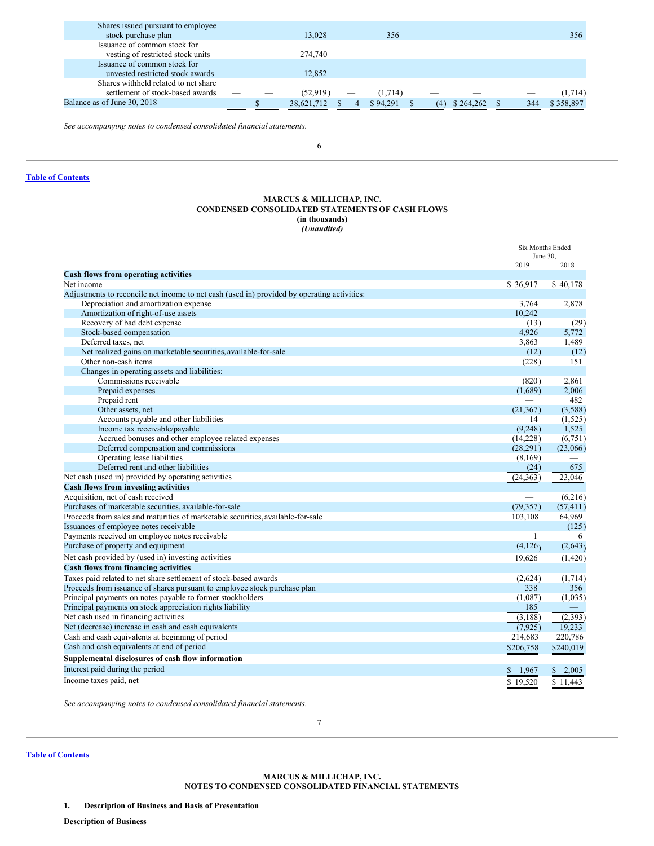| Shares issued pursuant to employee<br>stock purchase plan                |                          | 13.028     |   | 356      |     |           |     | 356       |
|--------------------------------------------------------------------------|--------------------------|------------|---|----------|-----|-----------|-----|-----------|
| Issuance of common stock for<br>vesting of restricted stock units        |                          | 274,740    |   |          |     |           |     |           |
| Issuance of common stock for<br>unvested restricted stock awards         |                          | 12.852     |   |          |     |           |     |           |
| Shares withheld related to net share<br>settlement of stock-based awards |                          | (52.919)   |   | (1.714)  |     |           |     | (1,714)   |
| Balance as of June 30, 2018                                              | $\overline{\phantom{a}}$ | 38.621.712 | 4 | \$94.291 | (4) | \$264,262 | 344 | \$358,897 |

*See accompanying notes to condensed consolidated financial statements.*

6

**Table of [Contents](#page-1-0)**

#### **MARCUS & MILLICHAP, INC. CONDENSED CONSOLIDATED STATEMENTS OF CASH FLOWS (in thousands)** *(Unaudited)*

<span id="page-4-0"></span>

|                                                                                             | Six Months Ended<br>June 30, |                   |
|---------------------------------------------------------------------------------------------|------------------------------|-------------------|
|                                                                                             | 2019                         | 2018              |
| <b>Cash flows from operating activities</b>                                                 |                              |                   |
| Net income                                                                                  | \$36,917                     | \$40,178          |
| Adjustments to reconcile net income to net cash (used in) provided by operating activities: |                              |                   |
| Depreciation and amortization expense                                                       | 3,764                        | 2,878             |
| Amortization of right-of-use assets                                                         | 10,242                       |                   |
| Recovery of bad debt expense                                                                | (13)                         | (29)              |
| Stock-based compensation                                                                    | 4,926                        | 5,772             |
| Deferred taxes, net                                                                         | 3,863                        | 1,489             |
| Net realized gains on marketable securities, available-for-sale                             | (12)                         | (12)              |
| Other non-cash items                                                                        | (228)                        | 151               |
| Changes in operating assets and liabilities:                                                |                              |                   |
| Commissions receivable                                                                      | (820)                        | 2,861             |
| Prepaid expenses                                                                            | (1,689)                      | 2,006             |
| Prepaid rent                                                                                |                              | 482               |
| Other assets, net                                                                           | (21, 367)                    | (3,588)           |
| Accounts payable and other liabilities                                                      | 14                           | (1,525)           |
| Income tax receivable/payable                                                               | (9,248)                      | 1,525             |
| Accrued bonuses and other employee related expenses                                         | (14,228)                     | (6,751)           |
| Deferred compensation and commissions                                                       | (28, 291)                    | (23,066)          |
| Operating lease liabilities                                                                 | (8,169)                      |                   |
| Deferred rent and other liabilities                                                         | (24)                         | 675               |
| Net cash (used in) provided by operating activities                                         | (24, 363)                    | 23,046            |
| <b>Cash flows from investing activities</b>                                                 |                              |                   |
| Acquisition, net of cash received                                                           |                              | (6,216)           |
| Purchases of marketable securities, available-for-sale                                      | (79, 357)                    | (57, 411)         |
| Proceeds from sales and maturities of marketable securities, available-for-sale             | 103,108                      | 64,969            |
| Issuances of employee notes receivable                                                      |                              | (125)             |
| Payments received on employee notes receivable                                              | $\mathbf{1}$                 | 6                 |
| Purchase of property and equipment                                                          | (4,126)                      | (2,643)           |
| Net cash provided by (used in) investing activities                                         | 19,626                       | (1,420)           |
| <b>Cash flows from financing activities</b>                                                 |                              |                   |
| Taxes paid related to net share settlement of stock-based awards                            | (2,624)                      | (1,714)           |
| Proceeds from issuance of shares pursuant to employee stock purchase plan                   | 338                          | 356               |
| Principal payments on notes payable to former stockholders                                  | (1,087)                      | (1,035)           |
| Principal payments on stock appreciation rights liability                                   | 185                          | $\qquad \qquad -$ |
| Net cash used in financing activities                                                       | (3, 188)                     | (2, 393)          |
| Net (decrease) increase in cash and cash equivalents                                        | (7, 925)                     | 19,233            |
| Cash and cash equivalents at beginning of period                                            | 214,683                      | 220,786           |
| Cash and cash equivalents at end of period                                                  | \$206,758                    | \$240,019         |
| Supplemental disclosures of cash flow information                                           |                              |                   |
| Interest paid during the period                                                             | 1,967                        | 2,005             |
| Income taxes paid, net                                                                      | \$<br>\$19,520               |                   |
|                                                                                             |                              | \$11.443          |

*See accompanying notes to condensed consolidated financial statements.*

7

**Table of [Contents](#page-1-0)**

#### **MARCUS & MILLICHAP, INC. NOTES TO CONDENSED CONSOLIDATED FINANCIAL STATEMENTS**

<span id="page-4-1"></span>**1. Description of Business and Basis of Presentation**

**Description of Business**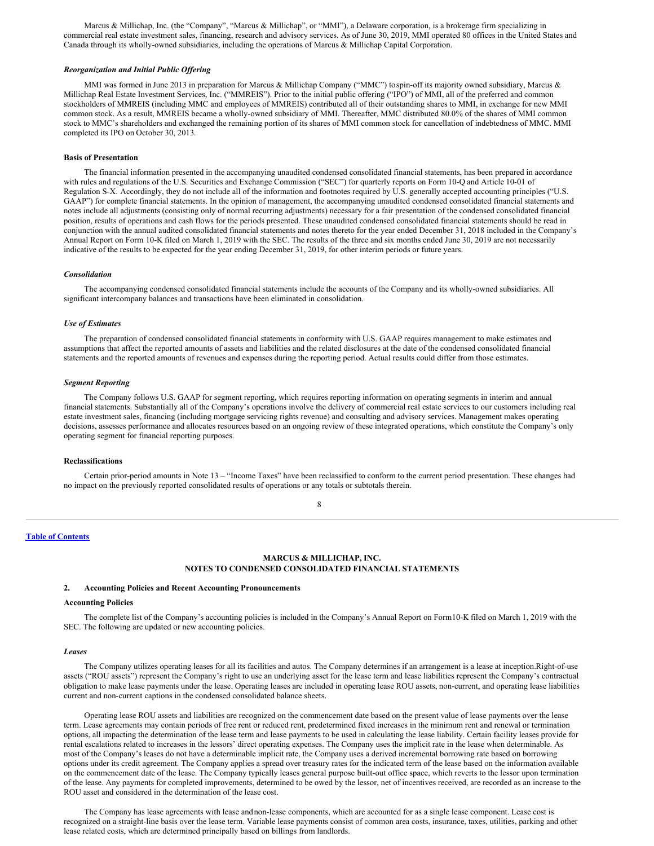Marcus & Millichap, Inc. (the "Company", "Marcus & Millichap", or "MMI"), a Delaware corporation, is a brokerage firm specializing in commercial real estate investment sales, financing, research and advisory services. As of June 30, 2019, MMI operated 80 offices in the United States and Canada through its wholly-owned subsidiaries, including the operations of Marcus & Millichap Capital Corporation.

#### *Reorganization and Initial Public Of ering*

MMI was formed in June 2013 in preparation for Marcus & Millichap Company ("MMC") tospin-off its majority owned subsidiary, Marcus & Millichap Real Estate Investment Services, Inc. ("MMREIS"). Prior to the initial public offering ("IPO") of MMI, all of the preferred and common stockholders of MMREIS (including MMC and employees of MMREIS) contributed all of their outstanding shares to MMI, in exchange for new MMI common stock. As a result, MMREIS became a wholly-owned subsidiary of MMI. Thereafter, MMC distributed 80.0% of the shares of MMI common stock to MMC's shareholders and exchanged the remaining portion of its shares of MMI common stock for cancellation of indebtedness of MMC. MMI completed its IPO on October 30, 2013.

#### **Basis of Presentation**

The financial information presented in the accompanying unaudited condensed consolidated financial statements, has been prepared in accordance with rules and regulations of the U.S. Securities and Exchange Commission ("SEC") for quarterly reports on Form 10-Q and Article 10-01 of Regulation S-X. Accordingly, they do not include all of the information and footnotes required by U.S. generally accepted accounting principles ("U.S. GAAP") for complete financial statements. In the opinion of management, the accompanying unaudited condensed consolidated financial statements and notes include all adjustments (consisting only of normal recurring adjustments) necessary for a fair presentation of the condensed consolidated financial position, results of operations and cash flows for the periods presented. These unaudited condensed consolidated financial statements should be read in conjunction with the annual audited consolidated financial statements and notes thereto for the year ended December 31, 2018 included in the Company's Annual Report on Form 10-K filed on March 1, 2019 with the SEC. The results of the three and six months ended June 30, 2019 are not necessarily indicative of the results to be expected for the year ending December 31, 2019, for other interim periods or future years.

#### *Consolidation*

The accompanying condensed consolidated financial statements include the accounts of the Company and its wholly-owned subsidiaries. All significant intercompany balances and transactions have been eliminated in consolidation.

#### *Use of Estimates*

The preparation of condensed consolidated financial statements in conformity with U.S. GAAP requires management to make estimates and assumptions that affect the reported amounts of assets and liabilities and the related disclosures at the date of the condensed consolidated financial statements and the reported amounts of revenues and expenses during the reporting period. Actual results could differ from those estimates.

#### *Segment Reporting*

The Company follows U.S. GAAP for segment reporting, which requires reporting information on operating segments in interim and annual financial statements. Substantially all of the Company's operations involve the delivery of commercial real estate services to our customers including real estate investment sales, financing (including mortgage servicing rights revenue) and consulting and advisory services. Management makes operating decisions, assesses performance and allocates resources based on an ongoing review of these integrated operations, which constitute the Company's only operating segment for financial reporting purposes.

#### **Reclassifications**

Certain prior-period amounts in Note 13 – "Income Taxes" have been reclassified to conform to the current period presentation. These changes had no impact on the previously reported consolidated results of operations or any totals or subtotals therein.

#### 8

#### **Table of [Contents](#page-1-0)**

#### **MARCUS & MILLICHAP, INC. NOTES TO CONDENSED CONSOLIDATED FINANCIAL STATEMENTS**

#### **2. Accounting Policies and Recent Accounting Pronouncements**

#### **Accounting Policies**

The complete list of the Company's accounting policies is included in the Company's Annual Report on Form10-K filed on March 1, 2019 with the SEC. The following are updated or new accounting policies.

#### *Leases*

The Company utilizes operating leases for all its facilities and autos. The Company determines if an arrangement is a lease at inception.Right-of-use assets ("ROU assets") represent the Company's right to use an underlying asset for the lease term and lease liabilities represent the Company's contractual obligation to make lease payments under the lease. Operating leases are included in operating lease ROU assets, non-current, and operating lease liabilities current and non-current captions in the condensed consolidated balance sheets.

Operating lease ROU assets and liabilities are recognized on the commencement date based on the present value of lease payments over the lease term. Lease agreements may contain periods of free rent or reduced rent, predetermined fixed increases in the minimum rent and renewal or termination options, all impacting the determination of the lease term and lease payments to be used in calculating the lease liability. Certain facility leases provide for rental escalations related to increases in the lessors' direct operating expenses. The Company uses the implicit rate in the lease when determinable. As most of the Company's leases do not have a determinable implicit rate, the Company uses a derived incremental borrowing rate based on borrowing options under its credit agreement. The Company applies a spread over treasury rates for the indicated term of the lease based on the information available on the commencement date of the lease. The Company typically leases general purpose built-out office space, which reverts to the lessor upon termination of the lease. Any payments for completed improvements, determined to be owed by the lessor, net of incentives received, are recorded as an increase to the ROU asset and considered in the determination of the lease cost.

The Company has lease agreements with lease andnon-lease components, which are accounted for as a single lease component. Lease cost is recognized on a straight-line basis over the lease term. Variable lease payments consist of common area costs, insurance, taxes, utilities, parking and other lease related costs, which are determined principally based on billings from landlords.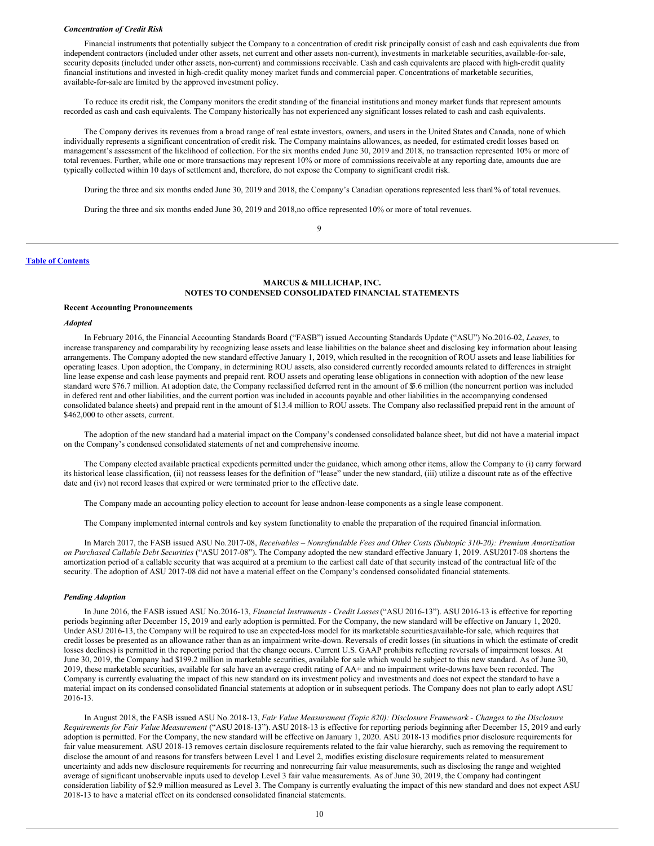#### *Concentration of Credit Risk*

Financial instruments that potentially subject the Company to a concentration of credit risk principally consist of cash and cash equivalents due from independent contractors (included under other assets, net current and other assets non-current), investments in marketable securities, available-for-sale, security deposits (included under other assets, non-current) and commissions receivable. Cash and cash equivalents are placed with high-credit quality financial institutions and invested in high-credit quality money market funds and commercial paper. Concentrations of marketable securities, available-for-sale are limited by the approved investment policy.

To reduce its credit risk, the Company monitors the credit standing of the financial institutions and money market funds that represent amounts recorded as cash and cash equivalents. The Company historically has not experienced any significant losses related to cash and cash equivalents.

The Company derives its revenues from a broad range of real estate investors, owners, and users in the United States and Canada, none of which individually represents a significant concentration of credit risk. The Company maintains allowances, as needed, for estimated credit losses based on management's assessment of the likelihood of collection. For the six months ended June 30, 2019 and 2018, no transaction represented 10% or more of total revenues. Further, while one or more transactions may represent 10% or more of commissions receivable at any reporting date, amounts due are typically collected within 10 days of settlement and, therefore, do not expose the Company to significant credit risk.

During the three and six months ended June 30, 2019 and 2018, the Company's Canadian operations represented less than  $\%$  of total revenues.

During the three and six months ended June 30, 2019 and 2018,no office represented 10% or more of total revenues.

## 9

#### **Table of [Contents](#page-1-0)**

#### **MARCUS & MILLICHAP, INC. NOTES TO CONDENSED CONSOLIDATED FINANCIAL STATEMENTS**

#### **Recent Accounting Pronouncements**

#### *Adopted*

In February 2016, the Financial Accounting Standards Board ("FASB") issued Accounting Standards Update ("ASU") No.2016-02, *Leases*, to increase transparency and comparability by recognizing lease assets and lease liabilities on the balance sheet and disclosing key information about leasing arrangements. The Company adopted the new standard effective January 1, 2019, which resulted in the recognition of ROU assets and lease liabilities for operating leases. Upon adoption, the Company, in determining ROU assets, also considered currently recorded amounts related to differences in straight line lease expense and cash lease payments and prepaid rent. ROU assets and operating lease obligations in connection with adoption of the new lease standard were \$76.7 million. At adoption date, the Company reclassified deferred rent in the amount of \$5.6 million (the noncurrent portion was included in defered rent and other liabilities, and the current portion was included in accounts payable and other liabilities in the accompanying condensed consolidated balance sheets) and prepaid rent in the amount of \$13.4 million to ROU assets. The Company also reclassified prepaid rent in the amount of \$462,000 to other assets, current.

The adoption of the new standard had a material impact on the Company's condensed consolidated balance sheet, but did not have a material impact on the Company's condensed consolidated statements of net and comprehensive income.

The Company elected available practical expedients permitted under the guidance, which among other items, allow the Company to (i) carry forward its historical lease classification, (ii) not reassess leases for the definition of "lease" under the new standard, (iii) utilize a discount rate as of the effective date and (iv) not record leases that expired or were terminated prior to the effective date.

The Company made an accounting policy election to account for lease andnon-lease components as a single lease component.

The Company implemented internal controls and key system functionality to enable the preparation of the required financial information.

In March 2017, the FASB issued ASU No.2017-08, *Receivables – Nonrefundable Fees and Other Costs (Subtopic 310-20): Premium Amortization on Purchased Callable Debt Securities* ("ASU 2017-08"). The Company adopted the new standard effective January 1, 2019. ASU2017-08 shortens the amortization period of a callable security that was acquired at a premium to the earliest call date of that security instead of the contractual life of the security. The adoption of ASU 2017-08 did not have a material effect on the Company's condensed consolidated financial statements.

#### *Pending Adoption*

In June 2016, the FASB issued ASU No.2016-13, *Financial Instruments - Credit Losses*("ASU 2016-13"). ASU 2016-13 is effective for reporting periods beginning after December 15, 2019 and early adoption is permitted. For the Company, the new standard will be effective on January 1, 2020. Under ASU 2016-13, the Company will be required to use an expected-loss model for its marketable securities,available-for sale, which requires that credit losses be presented as an allowance rather than as an impairment write-down. Reversals of credit losses (in situations in which the estimate of credit losses declines) is permitted in the reporting period that the change occurs. Current U.S. GAAP prohibits reflecting reversals of impairment losses. At June 30, 2019, the Company had \$199.2 million in marketable securities, available for sale which would be subject to this new standard. As of June 30, 2019, these marketable securities, available for sale have an average credit rating of AA+ and no impairment write-downs have been recorded. The Company is currently evaluating the impact of this new standard on its investment policy and investments and does not expect the standard to have a material impact on its condensed consolidated financial statements at adoption or in subsequent periods. The Company does not plan to early adopt ASU 2016-13.

In August 2018, the FASB issued ASU No.2018-13, *Fair Value Measurement (Topic 820): Disclosure Framework - Changes to the Disclosure Requirements for Fair Value Measurement* ("ASU 2018-13"). ASU 2018-13 is effective for reporting periods beginning after December 15, 2019 and early adoption is permitted. For the Company, the new standard will be effective on January 1, 2020. ASU 2018-13 modifies prior disclosure requirements for fair value measurement. ASU 2018-13 removes certain disclosure requirements related to the fair value hierarchy, such as removing the requirement to disclose the amount of and reasons for transfers between Level 1 and Level 2, modifies existing disclosure requirements related to measurement uncertainty and adds new disclosure requirements for recurring and nonrecurring fair value measurements, such as disclosing the range and weighted average of significant unobservable inputs used to develop Level 3 fair value measurements. As of June 30, 2019, the Company had contingent consideration liability of \$2.9 million measured as Level 3. The Company is currently evaluating the impact of this new standard and does not expect ASU 2018-13 to have a material effect on its condensed consolidated financial statements.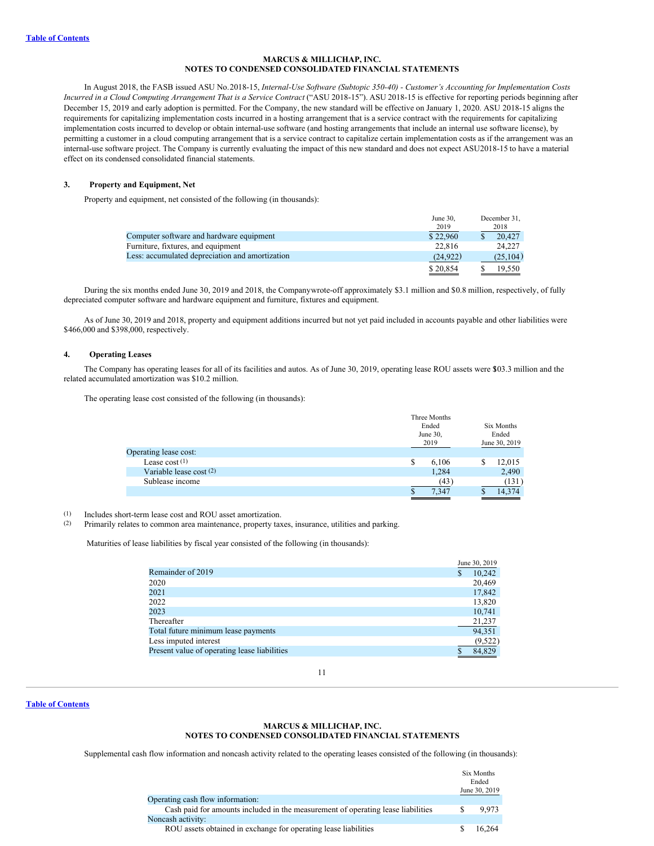#### **MARCUS & MILLICHAP, INC. NOTES TO CONDENSED CONSOLIDATED FINANCIAL STATEMENTS**

In August 2018, the FASB issued ASU No.2018-15, *Internal-Use Software (Subtopic 350-40) - Customer's Accounting for Implementation Costs* Incurred in a Cloud Computing Arrangement That is a Service Contract ("ASU 2018-15"). ASU 2018-15 is effective for reporting periods beginning after December 15, 2019 and early adoption is permitted. For the Company, the new standard will be effective on January 1, 2020. ASU 2018-15 aligns the requirements for capitalizing implementation costs incurred in a hosting arrangement that is a service contract with the requirements for capitalizing implementation costs incurred to develop or obtain internal-use software (and hosting arrangements that include an internal use software license), by permitting a customer in a cloud computing arrangement that is a service contract to capitalize certain implementation costs as if the arrangement was an internal-use software project. The Company is currently evaluating the impact of this new standard and does not expect ASU2018-15 to have a material effect on its condensed consolidated financial statements.

#### **3. Property and Equipment, Net**

Property and equipment, net consisted of the following (in thousands):

|                                                 | June 30. | December 31, |
|-------------------------------------------------|----------|--------------|
|                                                 | 2019     | 2018         |
| Computer software and hardware equipment        | \$22,960 | 20,427       |
| Furniture, fixtures, and equipment              | 22.816   | 24.227       |
| Less: accumulated depreciation and amortization | (24.922) | (25.104)     |
|                                                 | \$20,854 | 19.550       |

During the six months ended June 30, 2019 and 2018, the Companywrote-off approximately \$3.1 million and \$0.8 million, respectively, of fully depreciated computer software and hardware equipment and furniture, fixtures and equipment.

As of June 30, 2019 and 2018, property and equipment additions incurred but not yet paid included in accounts payable and other liabilities were \$466,000 and \$398,000, respectively.

#### **4. Operating Leases**

The Company has operating leases for all of its facilities and autos. As of June 30, 2019, operating lease ROU assets were \$103.3 million and the related accumulated amortization was \$10.2 million.

The operating lease cost consisted of the following (in thousands):

|                           | Three Months      |                     |  |
|---------------------------|-------------------|---------------------|--|
|                           | Ended<br>June 30, | Six Months<br>Ended |  |
|                           | 2019              | June 30, 2019       |  |
| Operating lease cost:     |                   |                     |  |
| Lease $cost(1)$           | \$<br>6,106       | 12,015              |  |
| Variable lease cost $(2)$ | 1,284             | 2,490               |  |
| Sublease income           | (43)              | (131)               |  |
|                           | 7,347             | 14,374              |  |

(1) Includes short-term lease cost and ROU asset amortization.<br>(2) Primarily relates to common area maintenance property tax

Primarily relates to common area maintenance, property taxes, insurance, utilities and parking.

Maturities of lease liabilities by fiscal year consisted of the following (in thousands):

|                                              |   | June 30, 2019 |
|----------------------------------------------|---|---------------|
| Remainder of 2019                            | S | 10,242        |
| 2020                                         |   | 20.469        |
| 2021                                         |   | 17,842        |
| 2022                                         |   | 13,820        |
| 2023                                         |   | 10,741        |
| Thereafter                                   |   | 21,237        |
| Total future minimum lease payments          |   | 94,351        |
| Less imputed interest                        |   | (9, 522)      |
| Present value of operating lease liabilities |   | 84.829        |

#### 11

#### **Table of [Contents](#page-1-0)**

#### **MARCUS & MILLICHAP, INC. NOTES TO CONDENSED CONSOLIDATED FINANCIAL STATEMENTS**

Supplemental cash flow information and noncash activity related to the operating leases consisted of the following (in thousands):

|                                                                                  | Six Months<br>Ended<br>June 30, 2019 |
|----------------------------------------------------------------------------------|--------------------------------------|
| Operating cash flow information:                                                 |                                      |
| Cash paid for amounts included in the measurement of operating lease liabilities | 9.973                                |
| Noncash activity:                                                                |                                      |
| ROU assets obtained in exchange for operating lease liabilities                  | 16.264                               |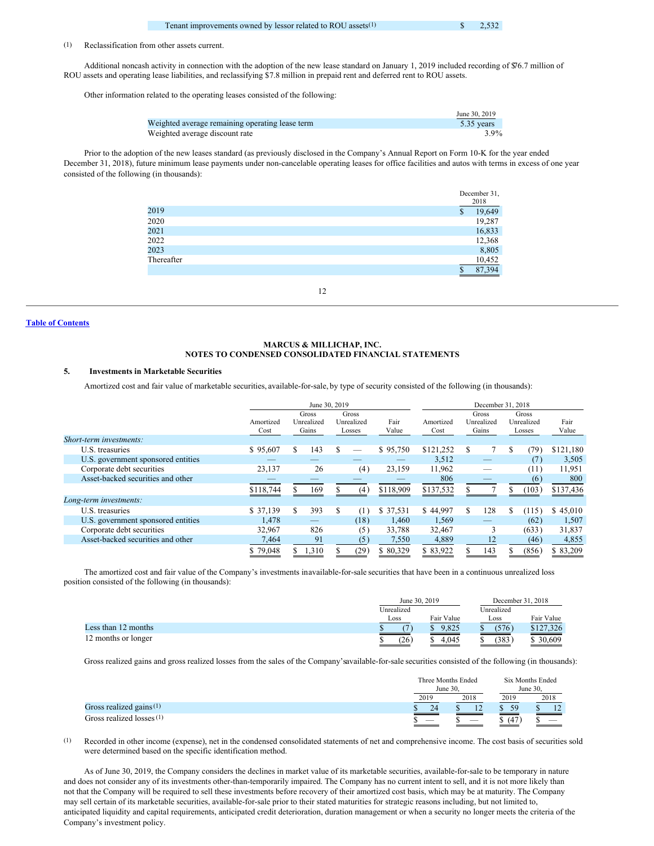| Tenant improvements owned by lessor related to ROU assets $(1)$ | 2.532 |  |
|-----------------------------------------------------------------|-------|--|
|-----------------------------------------------------------------|-------|--|

#### (1) Reclassification from other assets current.

Additional noncash activity in connection with the adoption of the new lease standard on January 1, 2019 included recording of \$76.7 million of ROU assets and operating lease liabilities, and reclassifying \$7.8 million in prepaid rent and deferred rent to ROU assets.

Other information related to the operating leases consisted of the following:

|                                                 | June 30, 2019 |
|-------------------------------------------------|---------------|
| Weighted average remaining operating lease term | $5.35$ years  |
| Weighted average discount rate                  | $3.9\%$       |

Prior to the adoption of the new leases standard (as previously disclosed in the Company's Annual Report on Form 10-K for the year ended December 31, 2018), future minimum lease payments under non-cancelable operating leases for office facilities and autos with terms in excess of one year consisted of the following (in thousands):

|            |   | December 31, |
|------------|---|--------------|
|            |   | 2018         |
| 2019       | S | 19,649       |
| 2020       |   | 19,287       |
| 2021       |   | 16,833       |
| 2022       |   | 12,368       |
| 2023       |   | 8,805        |
| Thereafter |   | 10,452       |
|            |   | 87.394       |

12

#### **Table of [Contents](#page-1-0)**

#### **MARCUS & MILLICHAP, INC. NOTES TO CONDENSED CONSOLIDATED FINANCIAL STATEMENTS**

#### **5. Investments in Marketable Securities**

Amortized cost and fair value of marketable securities, available-for-sale, by type of security consisted of the following (in thousands):

|                                    | June 30, 2019     |    |                              |   |                               | December 31, 2018 |                   |    |                              |    |                               |               |
|------------------------------------|-------------------|----|------------------------------|---|-------------------------------|-------------------|-------------------|----|------------------------------|----|-------------------------------|---------------|
|                                    | Amortized<br>Cost |    | Gross<br>Unrealized<br>Gains |   | Gross<br>Unrealized<br>Losses | Fair<br>Value     | Amortized<br>Cost |    | Gross<br>Unrealized<br>Gains |    | Gross<br>Unrealized<br>Losses | Fair<br>Value |
| Short-term investments:            |                   |    |                              |   |                               |                   |                   |    |                              |    |                               |               |
| U.S. treasuries                    | \$95,607          | S  | 143                          | S |                               | \$95,750          | \$121,252         | S  |                              | \$ | (79)                          | \$121,180     |
| U.S. government sponsored entities |                   |    |                              |   |                               |                   | 3,512             |    |                              |    | (7)                           | 3,505         |
| Corporate debt securities          | 23,137            |    | 26                           |   | (4)                           | 23,159            | 11,962            |    |                              |    | (11)                          | 11,951        |
| Asset-backed securities and other  |                   |    |                              |   |                               |                   | 806               |    |                              |    | (6)                           | 800           |
|                                    | \$118,744         |    | 169                          |   | (4)                           | \$118,909         | \$137,532         |    |                              |    | (103)                         | \$137,436     |
| Long-term investments:             |                   |    |                              |   |                               |                   |                   |    |                              |    |                               |               |
| U.S. treasuries                    | \$37,139          | S. | 393                          | S | (1)                           | \$37,531          | \$44,997          | S. | 128                          | S  | (115)                         | \$45,010      |
| U.S. government sponsored entities | 1.478             |    |                              |   | (18)                          | 1.460             | 1,569             |    |                              |    | (62)                          | 1,507         |
| Corporate debt securities          | 32,967            |    | 826                          |   | (5)                           | 33.788            | 32,467            |    | 3                            |    | (633)                         | 31,837        |
| Asset-backed securities and other  | 7,464             |    | 91                           |   | (5)                           | 7,550             | 4,889             |    | 12                           |    | (46)                          | 4,855         |
|                                    | \$79,048          |    | 1,310                        |   | (29)                          | \$80,329          | \$83,922          |    | 143                          |    | (856)                         | \$83,209      |

The amortized cost and fair value of the Company's investments inavailable-for-sale securities that have been in a continuous unrealized loss position consisted of the following (in thousands):

|                     | June 30, 2019 |            | December 31, 2018 |            |
|---------------------|---------------|------------|-------------------|------------|
|                     | Unrealized    |            | Unrealized        |            |
|                     | Loss          | Fair Value | Loss              | Fair Value |
| Less than 12 months |               | 9.825      | (576)             | \$127,326  |
| 12 months or longer | (26)          | 4.045      | (383              | 30.609     |

Gross realized gains and gross realized losses from the sales of the Company'savailable-for-sale securities consisted of the following (in thousands):

|                             |      | Three Months Ended<br>June 30. |      | Six Months Ended<br>June 30. |
|-----------------------------|------|--------------------------------|------|------------------------------|
|                             | 2019 | 2018                           | 2019 | 2018                         |
| Gross realized gains $(1)$  | 24   | . .                            | 59   | $\overline{1}$               |
| Gross realized losses $(1)$ |      | $\overline{\phantom{a}}$       | (47) |                              |

(1) Recorded in other income (expense), net in the condensed consolidated statements of net and comprehensive income. The cost basis of securities sold were determined based on the specific identification method.

As of June 30, 2019, the Company considers the declines in market value of its marketable securities, available-for-sale to be temporary in nature and does not consider any of its investments other-than-temporarily impaired. The Company has no current intent to sell, and it is not more likely than not that the Company will be required to sell these investments before recovery of their amortized cost basis, which may be at maturity. The Company may sell certain of its marketable securities, available-for-sale prior to their stated maturities for strategic reasons including, but not limited to, anticipated liquidity and capital requirements, anticipated credit deterioration, duration management or when a security no longer meets the criteria of the Company's investment policy.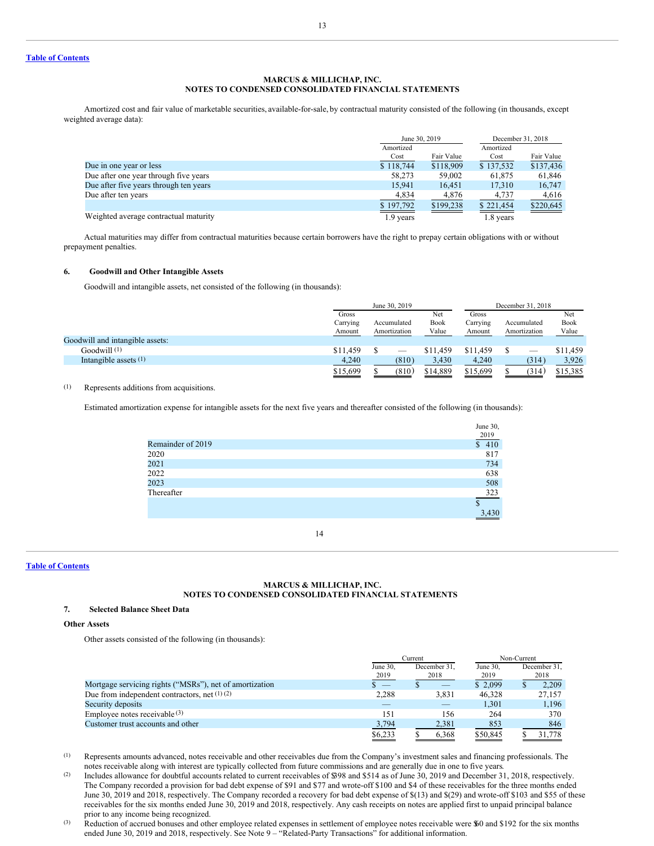#### **MARCUS & MILLICHAP, INC. NOTES TO CONDENSED CONSOLIDATED FINANCIAL STATEMENTS**

Amortized cost and fair value of marketable securities, available-for-sale, by contractual maturity consisted of the following (in thousands, except weighted average data):

|                                        |           | June 30, 2019 |           | December 31, 2018 |  |
|----------------------------------------|-----------|---------------|-----------|-------------------|--|
|                                        | Amortized |               | Amortized |                   |  |
|                                        | Cost      | Fair Value    | Cost      | Fair Value        |  |
| Due in one year or less                | \$118,744 | \$118,909     | \$137,532 | \$137,436         |  |
| Due after one year through five years  | 58,273    | 59,002        | 61.875    | 61,846            |  |
| Due after five years through ten years | 15,941    | 16.451        | 17,310    | 16,747            |  |
| Due after ten years                    | 4,834     | 4,876         | 4,737     | 4,616             |  |
|                                        | \$197,792 | \$199,238     | \$221,454 | \$220,645         |  |
| Weighted average contractual maturity  | 1.9 years |               | 1.8 years |                   |  |

Actual maturities may differ from contractual maturities because certain borrowers have the right to prepay certain obligations with or without prepayment penalties.

#### **6. Goodwill and Other Intangible Assets**

Goodwill and intangible assets, net consisted of the following (in thousands):

|                                 |          | June 30, 2019 |                   |          | December 31, 2018 |                   |  |  |
|---------------------------------|----------|---------------|-------------------|----------|-------------------|-------------------|--|--|
|                                 | Gross    |               | Net               | Gross    |                   | Net               |  |  |
|                                 | Carrying | Accumulated   | Book              | Carrying | Accumulated       | Book              |  |  |
|                                 | Amount   | Amortization  | Value             | Amount   | Amortization      | Value             |  |  |
| Goodwill and intangible assets: |          |               |                   |          |                   |                   |  |  |
| Goodwill <sup>(1)</sup>         | \$11,459 |               | \$11.459          | \$11.459 |                   | \$11.459          |  |  |
| Intangible assets $(1)$         | 4,240    |               | (810)<br>3,430    | 4,240    |                   | 3,926<br>(314)    |  |  |
|                                 | \$15,699 |               | (810)<br>\$14,889 | \$15,699 |                   | (314)<br>\$15,385 |  |  |

#### (1) Represents additions from acquisitions.

Estimated amortization expense for intangible assets for the next five years and thereafter consisted of the following (in thousands):

|                   | June 30, |
|-------------------|----------|
|                   | 2019     |
| Remainder of 2019 | \$410    |
| 2020              | 817      |
| 2021              | 734      |
| 2022              | 638      |
| 2023              | 508      |
| Thereafter        | 323      |
|                   | <b>S</b> |
|                   | 3,430    |

14

#### **Table of [Contents](#page-1-0)**

#### **MARCUS & MILLICHAP, INC. NOTES TO CONDENSED CONSOLIDATED FINANCIAL STATEMENTS**

#### **7. Selected Balance Sheet Data**

#### **Other Assets**

Other assets consisted of the following (in thousands):

|                                                         |          | Current      | Non-Current |              |  |
|---------------------------------------------------------|----------|--------------|-------------|--------------|--|
|                                                         | June 30, | December 31, | June 30,    | December 31, |  |
|                                                         | 2019     | 2018         | 2019        | 2018         |  |
| Mortgage servicing rights ("MSRs"), net of amortization | $s =$    |              | \$2.099     | 2,209        |  |
| Due from independent contractors, net $(1)(2)$          | 2,288    | 3,831        | 46,328      | 27,157       |  |
| Security deposits                                       |          |              | 1.301       | 1.196        |  |
| Employee notes receivable $(3)$                         | 151      | 156          | 264         | 370          |  |
| Customer trust accounts and other                       | 3,794    | 2,381        | 853         | 846          |  |
|                                                         | \$6,233  | 6,368        | \$50,845    | 31.778       |  |

(1) Represents amounts advanced, notes receivable and other receivables due from the Company's investment sales and financing professionals. The notes receivable along with interest are typically collected from future commissions and are generally due in one to five years.

- (2) Includes allowance for doubtful accounts related to current receivables of \$398 and \$514 as of June 30, 2019 and December 31, 2018, respectively. The Company recorded a provision for bad debt expense of \$91 and \$77 and wrote-off \$100 and \$4 of these receivables for the three months ended June 30, 2019 and 2018, respectively. The Company recorded a recovery for bad debt expense of \$(13) and \$(29) and wrote-off \$103 and \$55 of these receivables for the six months ended June 30, 2019 and 2018, respectively. Any cash receipts on notes are applied first to unpaid principal balance prior to any income being recognized.
- (3) Reduction of accrued bonuses and other employee related expenses in settlement of employee notes receivable were \$60 and \$192 for the six months ended June 30, 2019 and 2018, respectively. See Note 9 – "Related-Party Transactions" for additional information.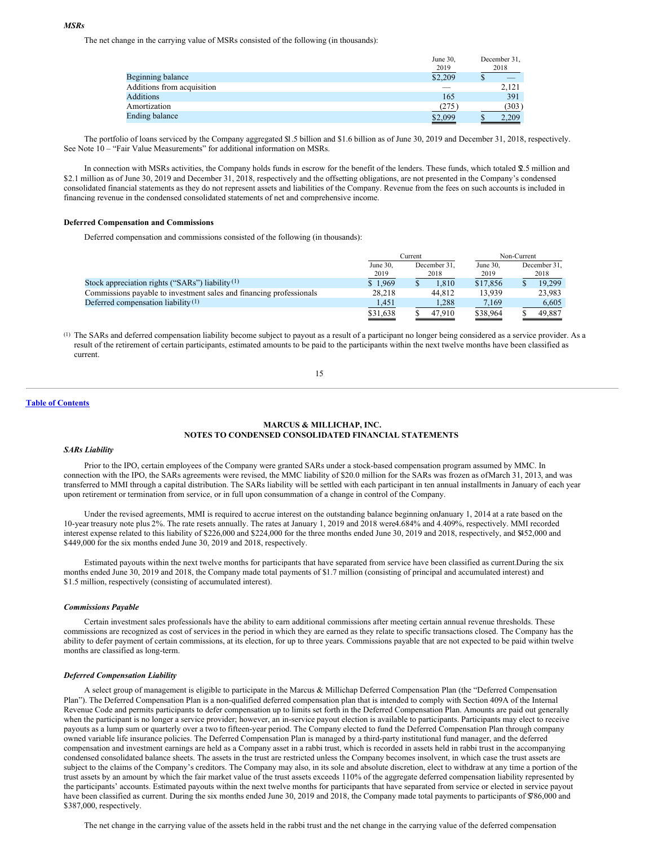#### *MSRs*

The net change in the carrying value of MSRs consisted of the following (in thousands):

|                            | June 30, | December 31, |       |  |
|----------------------------|----------|--------------|-------|--|
|                            | 2019     |              | 2018  |  |
| Beginning balance          | \$2,209  |              |       |  |
| Additions from acquisition | --       |              | 2.121 |  |
| <b>Additions</b>           | 165      |              | 391   |  |
| Amortization               | (275)    |              | (303) |  |
| Ending balance             | \$2,099  |              | 2.209 |  |

The portfolio of loans serviced by the Company aggregated \$1.5 billion and \$1.6 billion as of June 30, 2019 and December 31, 2018, respectively. See Note 10 – "Fair Value Measurements" for additional information on MSRs.

In connection with MSRs activities, the Company holds funds in escrow for the benefit of the lenders. These funds, which totaled \$2.5 million and \$2.1 million as of June 30, 2019 and December 31, 2018, respectively and the offsetting obligations, are not presented in the Company's condensed consolidated financial statements as they do not represent assets and liabilities of the Company. Revenue from the fees on such accounts is included in financing revenue in the condensed consolidated statements of net and comprehensive income.

#### **Deferred Compensation and Commissions**

Deferred compensation and commissions consisted of the following (in thousands):

|                                                                     |          | Current      | Non-Current |              |  |
|---------------------------------------------------------------------|----------|--------------|-------------|--------------|--|
|                                                                     | June 30, | December 31. | June 30,    | December 31, |  |
|                                                                     | 2019     | 2018         | 2019        | 2018         |  |
| Stock appreciation rights ("SARs") liability $(1)$                  | \$1.969  | 1.810        | \$17,856    | 19.299       |  |
| Commissions payable to investment sales and financing professionals | 28,218   | 44.812       | 13.939      | 23,983       |  |
| Deferred compensation liability $(1)$                               | 1,451    | 1,288        | 7,169       | 6,605        |  |
|                                                                     | \$31,638 | 47.910       | \$38,964    | 49.887       |  |

(1) The SARs and deferred compensation liability become subject to payout as a result of a participant no longer being considered as a service provider. As a result of the retirement of certain participants, estimated amounts to be paid to the participants within the next twelve months have been classified as current.

15

#### **Table of [Contents](#page-1-0)**

#### **MARCUS & MILLICHAP, INC. NOTES TO CONDENSED CONSOLIDATED FINANCIAL STATEMENTS**

#### *SARs Liability*

Prior to the IPO, certain employees of the Company were granted SARs under a stock-based compensation program assumed by MMC. In connection with the IPO, the SARs agreements were revised, the MMC liability of \$20.0 million for the SARs was frozen as ofMarch 31, 2013, and was transferred to MMI through a capital distribution. The SARs liability will be settled with each participant in ten annual installments in January of each year upon retirement or termination from service, or in full upon consummation of a change in control of the Company.

Under the revised agreements, MMI is required to accrue interest on the outstanding balance beginning onJanuary 1, 2014 at a rate based on the 10-year treasury note plus 2%. The rate resets annually. The rates at January 1, 2019 and 2018 were4.684% and 4.409%, respectively. MMI recorded interest expense related to this liability of \$226,000 and \$224,000 for the three months ended June 30, 2019 and 2018, respectively, and \$452,000 and \$449,000 for the six months ended June 30, 2019 and 2018, respectively.

Estimated payouts within the next twelve months for participants that have separated from service have been classified as current.During the six months ended June 30, 2019 and 2018, the Company made total payments of \$1.7 million (consisting of principal and accumulated interest) and \$1.5 million, respectively (consisting of accumulated interest).

#### *Commissions Payable*

Certain investment sales professionals have the ability to earn additional commissions after meeting certain annual revenue thresholds. These commissions are recognized as cost of services in the period in which they are earned as they relate to specific transactions closed. The Company has the ability to defer payment of certain commissions, at its election, for up to three years. Commissions payable that are not expected to be paid within twelve months are classified as long-term.

#### *Deferred Compensation Liability*

A select group of management is eligible to participate in the Marcus & Millichap Deferred Compensation Plan (the "Deferred Compensation Plan"). The Deferred Compensation Plan is a non-qualified deferred compensation plan that is intended to comply with Section 409A of the Internal Revenue Code and permits participants to defer compensation up to limits set forth in the Deferred Compensation Plan. Amounts are paid out generally when the participant is no longer a service provider; however, an in-service payout election is available to participants. Participants may elect to receive payouts as a lump sum or quarterly over a two to fifteen-year period. The Company elected to fund the Deferred Compensation Plan through company owned variable life insurance policies. The Deferred Compensation Plan is managed by a third-party institutional fund manager, and the deferred compensation and investment earnings are held as a Company asset in a rabbi trust, which is recorded in assets held in rabbi trust in the accompanying condensed consolidated balance sheets. The assets in the trust are restricted unless the Company becomes insolvent, in which case the trust assets are subject to the claims of the Company's creditors. The Company may also, in its sole and absolute discretion, elect to withdraw at any time a portion of the trust assets by an amount by which the fair market value of the trust assets exceeds 110% of the aggregate deferred compensation liability represented by the participants' accounts. Estimated payouts within the next twelve months for participants that have separated from service or elected in service payout have been classified as current. During the six months ended June 30, 2019 and 2018, the Company made total payments to participants of \$786,000 and \$387,000, respectively.

The net change in the carrying value of the assets held in the rabbi trust and the net change in the carrying value of the deferred compensation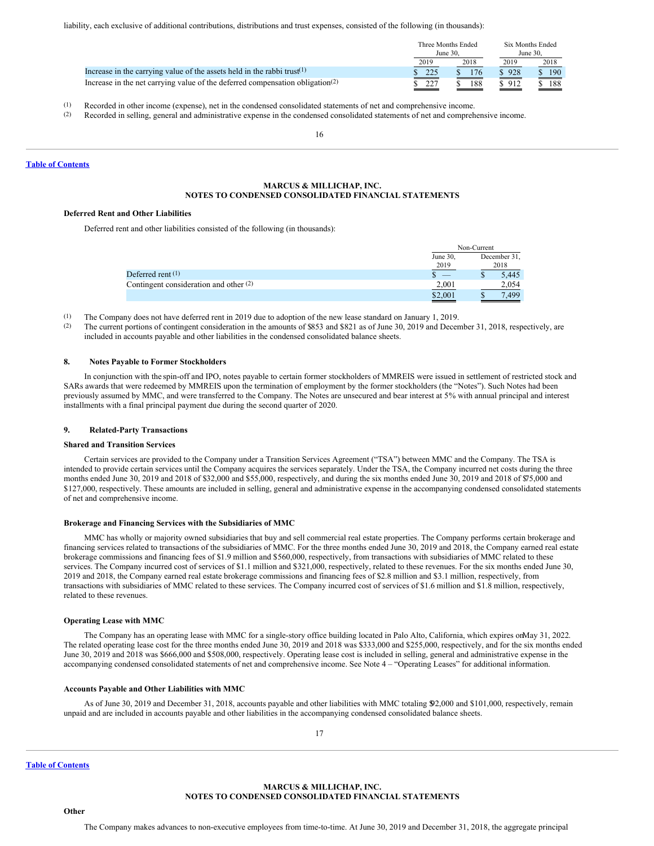liability, each exclusive of additional contributions, distributions and trust expenses, consisted of the following (in thousands):

|                                                                                                  |      | Three Months Ended<br>June 30. |       | Six Months Ended<br>June 30.             |  |  |
|--------------------------------------------------------------------------------------------------|------|--------------------------------|-------|------------------------------------------|--|--|
|                                                                                                  | 2019 | 2018                           | 2019  | 2018                                     |  |  |
| Increase in the carrying value of the assets held in the rabbi trust <sup><math>(1)</math></sup> | 225  | 76                             | \$928 | 190                                      |  |  |
| Increase in the net carrying value of the deferred compensation obligation <sup>(2)</sup>        | 227  | 188                            | \$912 | <b>Contract Contract Contract</b><br>188 |  |  |

(1) Recorded in other income (expense), net in the condensed consolidated statements of net and comprehensive income.

(2) Recorded in selling, general and administrative expense in the condensed consolidated statements of net and comprehensive income.

16

#### **Table of [Contents](#page-1-0)**

#### **MARCUS & MILLICHAP, INC. NOTES TO CONDENSED CONSOLIDATED FINANCIAL STATEMENTS**

#### **Deferred Rent and Other Liabilities**

Deferred rent and other liabilities consisted of the following (in thousands):

|                                          |                     | Non-Current |                      |  |
|------------------------------------------|---------------------|-------------|----------------------|--|
|                                          | June $30$ ,<br>2019 |             | December 31,<br>2018 |  |
| Deferred rent $(1)$                      |                     |             | 5.445                |  |
| Contingent consideration and other $(2)$ | 2,001               |             | 2.054                |  |
|                                          | \$2,001             |             | 7.499                |  |

- (1) The Company does not have deferred rent in 2019 due to adoption of the new lease standard on January 1, 2019.
- (2) The current portions of contingent consideration in the amounts of \$853 and \$821 as of June 30, 2019 and December 31, 2018, respectively, are included in accounts payable and other liabilities in the condensed consolidated balance sheets.

#### **8. Notes Payable to Former Stockholders**

In conjunction with the spin-off and IPO, notes payable to certain former stockholders of MMREIS were issued in settlement of restricted stock and SARs awards that were redeemed by MMREIS upon the termination of employment by the former stockholders (the "Notes"). Such Notes had been previously assumed by MMC, and were transferred to the Company. The Notes are unsecured and bear interest at 5% with annual principal and interest installments with a final principal payment due during the second quarter of 2020.

#### **9. Related-Party Transactions**

#### **Shared and Transition Services**

Certain services are provided to the Company under a Transition Services Agreement ("TSA") between MMC and the Company. The TSA is intended to provide certain services until the Company acquires the services separately. Under the TSA, the Company incurred net costs during the three months ended June 30, 2019 and 2018 of \$32,000 and \$55,000, respectively, and during the six months ended June 30, 2019 and 2018 of \$75,000 and \$127,000, respectively. These amounts are included in selling, general and administrative expense in the accompanying condensed consolidated statements of net and comprehensive income.

#### **Brokerage and Financing Services with the Subsidiaries of MMC**

MMC has wholly or majority owned subsidiaries that buy and sell commercial real estate properties. The Company performs certain brokerage and financing services related to transactions of the subsidiaries of MMC. For the three months ended June 30, 2019 and 2018, the Company earned real estate brokerage commissions and financing fees of \$1.9 million and \$560,000, respectively, from transactions with subsidiaries of MMC related to these services. The Company incurred cost of services of \$1.1 million and \$321,000, respectively, related to these revenues. For the six months ended June 30, 2019 and 2018, the Company earned real estate brokerage commissions and financing fees of \$2.8 million and \$3.1 million, respectively, from transactions with subsidiaries of MMC related to these services. The Company incurred cost of services of \$1.6 million and \$1.8 million, respectively, related to these revenues.

#### **Operating Lease with MMC**

The Company has an operating lease with MMC for a single-story office building located in Palo Alto, California, which expires onMay 31, 2022. The related operating lease cost for the three months ended June 30, 2019 and 2018 was \$333,000 and \$255,000, respectively, and for the six months ended June 30, 2019 and 2018 was \$666,000 and \$508,000, respectively. Operating lease cost is included in selling, general and administrative expense in the accompanying condensed consolidated statements of net and comprehensive income. See Note 4 – "Operating Leases" for additional information.

#### **Accounts Payable and Other Liabilities with MMC**

As of June 30, 2019 and December 31, 2018, accounts payable and other liabilities with MMC totaling \$92,000 and \$101,000, respectively, remain unpaid and are included in accounts payable and other liabilities in the accompanying condensed consolidated balance sheets.

#### **Table of [Contents](#page-1-0)**

#### **MARCUS & MILLICHAP, INC. NOTES TO CONDENSED CONSOLIDATED FINANCIAL STATEMENTS**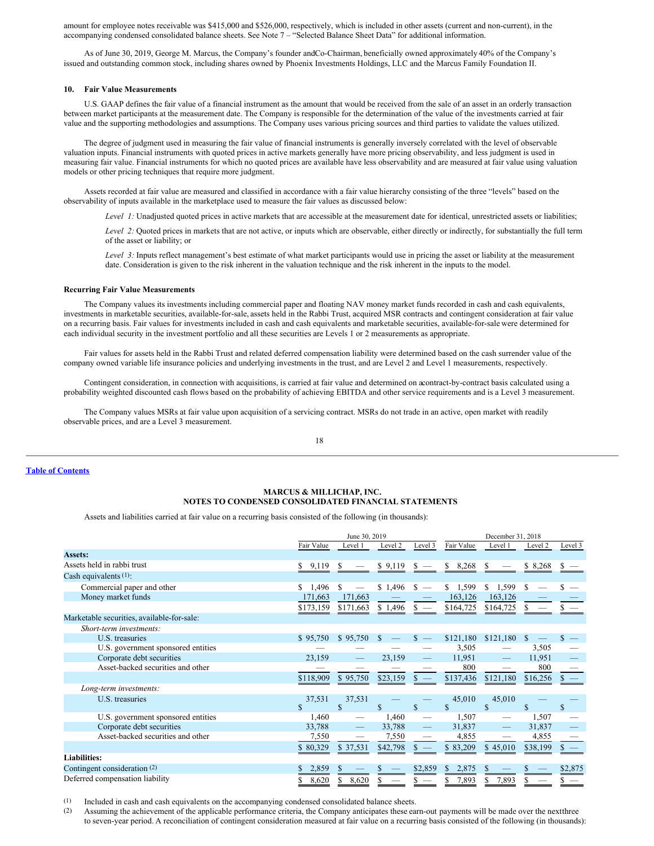amount for employee notes receivable was \$415,000 and \$526,000, respectively, which is included in other assets (current and non-current), in the accompanying condensed consolidated balance sheets. See Note 7 – "Selected Balance Sheet Data" for additional information.

As of June 30, 2019, George M. Marcus, the Company's founder andCo-Chairman, beneficially owned approximately 40% of the Company's issued and outstanding common stock, including shares owned by Phoenix Investments Holdings, LLC and the Marcus Family Foundation II.

#### **10. Fair Value Measurements**

U.S. GAAP defines the fair value of a financial instrument as the amount that would be received from the sale of an asset in an orderly transaction between market participants at the measurement date. The Company is responsible for the determination of the value of the investments carried at fair value and the supporting methodologies and assumptions. The Company uses various pricing sources and third parties to validate the values utilized.

The degree of judgment used in measuring the fair value of financial instruments is generally inversely correlated with the level of observable valuation inputs. Financial instruments with quoted prices in active markets generally have more pricing observability, and less judgment is used in measuring fair value. Financial instruments for which no quoted prices are available have less observability and are measured at fair value using valuation models or other pricing techniques that require more judgment.

Assets recorded at fair value are measured and classified in accordance with a fair value hierarchy consisting of the three "levels" based on the observability of inputs available in the marketplace used to measure the fair values as discussed below:

*Level 1:* Unadjusted quoted prices in active markets that are accessible at the measurement date for identical, unrestricted assets or liabilities;

*Level* 2: Quoted prices in markets that are not active, or inputs which are observable, either directly or indirectly, for substantially the full term of the asset or liability; or

*Level* 3: Inputs reflect management's best estimate of what market participants would use in pricing the asset or liability at the measurement date. Consideration is given to the risk inherent in the valuation technique and the risk inherent in the inputs to the model.

#### **Recurring Fair Value Measurements**

The Company values its investments including commercial paper and floating NAV money market funds recorded in cash and cash equivalents, investments in marketable securities, available-for-sale, assets held in the Rabbi Trust, acquired MSR contracts and contingent consideration at fair value on a recurring basis. Fair values for investments included in cash and cash equivalents and marketable securities, available-for-sale were determined for each individual security in the investment portfolio and all these securities are Levels 1 or 2 measurements as appropriate.

Fair values for assets held in the Rabbi Trust and related deferred compensation liability were determined based on the cash surrender value of the company owned variable life insurance policies and underlying investments in the trust, and are Level 2 and Level 1 measurements, respectively.

Contingent consideration, in connection with acquisitions, is carried at fair value and determined on acontract-by-contract basis calculated using a probability weighted discounted cash flows based on the probability of achieving EBITDA and other service requirements and is a Level 3 measurement.

The Company values MSRs at fair value upon acquisition of a servicing contract. MSRs do not trade in an active, open market with readily observable prices, and are a Level 3 measurement.

18

#### **Table of [Contents](#page-1-0)**

#### **MARCUS & MILLICHAP, INC. NOTES TO CONDENSED CONSOLIDATED FINANCIAL STATEMENTS**

Assets and liabilities carried at fair value on a recurring basis consisted of the following (in thousands):

|                                            | June 30, 2019 |              |          | December 31, 2018                     |             |                          |               |         |
|--------------------------------------------|---------------|--------------|----------|---------------------------------------|-------------|--------------------------|---------------|---------|
|                                            | Fair Value    | Level 1      | Level 2  | Level 3                               | Fair Value  | Level 1                  | Level 2       | Level 3 |
| <b>Assets:</b>                             |               |              |          |                                       |             |                          |               |         |
| Assets held in rabbi trust                 | \$<br>9,119   | S            | \$9,119  | S.<br>$\hspace{0.1mm}-\hspace{0.1mm}$ | \$<br>8,268 | S.                       | \$8,268       |         |
| Cash equivalents $(1)$ :                   |               |              |          |                                       |             |                          |               |         |
| Commercial paper and other                 | 1,496         | S            | \$1,496  | $s -$                                 | 1,599<br>S. | 1,599<br>S.              | S.            |         |
| Money market funds                         | 171,663       | 171,663      |          |                                       | 163,126     | 163,126                  |               |         |
|                                            | \$173,159     | \$171,663    | \$1,496  | $s =$                                 | \$164,725   | \$164,725                |               |         |
| Marketable securities, available-for-sale: |               |              |          |                                       |             |                          |               |         |
| Short-term investments:                    |               |              |          |                                       |             |                          |               |         |
| U.S. treasuries                            | \$95,750      | \$95,750     | S        | $s -$                                 | \$121,180   | \$121,180                | <sup>\$</sup> | \$      |
| U.S. government sponsored entities         |               |              |          |                                       | 3,505       |                          | 3,505         |         |
| Corporate debt securities                  | 23,159        |              | 23,159   |                                       | 11,951      |                          | 11,951        |         |
| Asset-backed securities and other          |               |              |          |                                       | 800         | $\overline{\phantom{m}}$ | 800           |         |
|                                            | \$118,909     | \$95,750     | \$23,159 |                                       | \$137,436   | \$121,180                | \$16,256      |         |
| Long-term investments:                     |               |              |          |                                       |             |                          |               |         |
| U.S. treasuries                            | 37,531        | 37,531       |          |                                       | 45,010      | 45,010                   |               |         |
|                                            | \$            | $\mathbb{S}$ | S        | $\mathbf S$                           | $\mathbf S$ | $\mathbb{S}$             | $\mathbb{S}$  | \$      |
| U.S. government sponsored entities         | 1,460         |              | 1,460    |                                       | 1,507       |                          | 1,507         |         |
| Corporate debt securities                  | 33,788        |              | 33,788   |                                       | 31,837      |                          | 31,837        |         |
| Asset-backed securities and other          | 7,550         |              | 7,550    |                                       | 4,855       |                          | 4,855         |         |
|                                            | \$ 80,329     | \$ 37,531    | \$42,798 |                                       | \$83,209    | \$45,010                 | \$38,199      |         |
| <b>Liabilities:</b>                        |               |              |          |                                       |             |                          |               |         |
| Contingent consideration <sup>(2)</sup>    | 2,859         |              |          | \$2,859                               | 2,875<br>S. |                          |               | \$2,875 |
| Deferred compensation liability            | 8,620<br>\$   | 8,620<br>S   |          | \$                                    | 7,893<br>\$ | 7,893<br>S.              | S             | S       |

(1) Included in cash and cash equivalents on the accompanying condensed consolidated balance sheets.

(2) Assuming the achievement of the applicable performance criteria, the Company anticipates these earn-out payments will be made over the nextthree to seven-year period. A reconciliation of contingent consideration measured at fair value on a recurring basis consisted of the following (in thousands):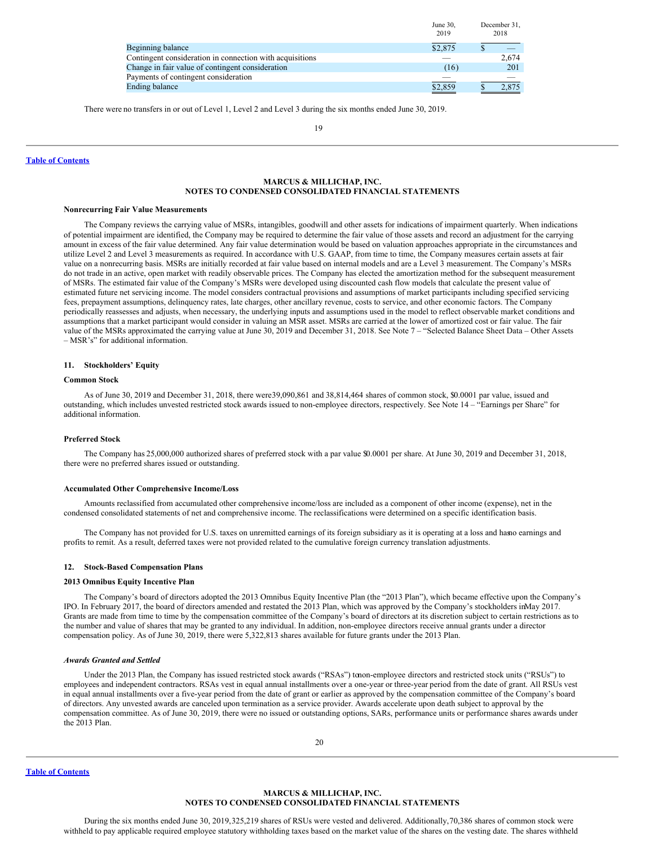|                                                          | June 30,<br>2019 | December 31,<br>2018 |
|----------------------------------------------------------|------------------|----------------------|
| Beginning balance                                        | \$2,875          |                      |
| Contingent consideration in connection with acquisitions |                  | 2.674                |
| Change in fair value of contingent consideration         | (16)             | 201                  |
| Payments of contingent consideration                     | --               |                      |
| <b>Ending balance</b>                                    | \$2,859          | 2.875                |
|                                                          |                  |                      |

There were no transfers in or out of Level 1, Level 2 and Level 3 during the six months ended June 30, 2019.

#### 19

#### **Table of [Contents](#page-1-0)**

#### **MARCUS & MILLICHAP, INC. NOTES TO CONDENSED CONSOLIDATED FINANCIAL STATEMENTS**

#### **Nonrecurring Fair Value Measurements**

The Company reviews the carrying value of MSRs, intangibles, goodwill and other assets for indications of impairment quarterly. When indications of potential impairment are identified, the Company may be required to determine the fair value of those assets and record an adjustment for the carrying amount in excess of the fair value determined. Any fair value determination would be based on valuation approaches appropriate in the circumstances and utilize Level 2 and Level 3 measurements as required. In accordance with U.S. GAAP, from time to time, the Company measures certain assets at fair value on a nonrecurring basis. MSRs are initially recorded at fair value based on internal models and are a Level 3 measurement. The Company's MSRs do not trade in an active, open market with readily observable prices. The Company has elected the amortization method for the subsequent measurement of MSRs. The estimated fair value of the Company's MSRs were developed using discounted cash flow models that calculate the present value of estimated future net servicing income. The model considers contractual provisions and assumptions of market participants including specified servicing fees, prepayment assumptions, delinquency rates, late charges, other ancillary revenue, costs to service, and other economic factors. The Company periodically reassesses and adjusts, when necessary, the underlying inputs and assumptions used in the model to reflect observable market conditions and assumptions that a market participant would consider in valuing an MSR asset. MSRs are carried at the lower of amortized cost or fair value. The fair value of the MSRs approximated the carrying value at June 30, 2019 and December 31, 2018. See Note 7 – "Selected Balance Sheet Data – Other Assets – MSR's" for additional information.

#### **11. Stockholders' Equity**

#### **Common Stock**

As of June 30, 2019 and December 31, 2018, there were39,090,861 and 38,814,464 shares of common stock, \$0.0001 par value, issued and outstanding, which includes unvested restricted stock awards issued to non-employee directors, respectively. See Note 14 – "Earnings per Share" for additional information.

#### **Preferred Stock**

The Company has 25,000,000 authorized shares of preferred stock with a par value \$0.0001 per share. At June 30, 2019 and December 31, 2018, there were no preferred shares issued or outstanding.

#### **Accumulated Other Comprehensive Income/Loss**

Amounts reclassified from accumulated other comprehensive income/loss are included as a component of other income (expense), net in the condensed consolidated statements of net and comprehensive income. The reclassifications were determined on a specific identification basis.

The Company has not provided for U.S. taxes on unremitted earnings of its foreign subsidiary as it is operating at a loss and hasno earnings and profits to remit. As a result, deferred taxes were not provided related to the cumulative foreign currency translation adjustments.

#### **12. Stock-Based Compensation Plans**

#### **2013 Omnibus Equity Incentive Plan**

The Company's board of directors adopted the 2013 Omnibus Equity Incentive Plan (the "2013 Plan"), which became effective upon the Company's IPO. In February 2017, the board of directors amended and restated the 2013 Plan, which was approved by the Company's stockholders inMay 2017. Grants are made from time to time by the compensation committee of the Company's board of directors at its discretion subject to certain restrictions as to the number and value of shares that may be granted to any individual. In addition, non-employee directors receive annual grants under a director compensation policy. As of June 30, 2019, there were 5,322,813 shares available for future grants under the 2013 Plan.

#### *Awards Granted and Settled*

Under the 2013 Plan, the Company has issued restricted stock awards ("RSAs") tonon-employee directors and restricted stock units ("RSUs") to employees and independent contractors. RSAs vest in equal annual installments over a one-year or three-year period from the date of grant. All RSUs vest in equal annual installments over a five-year period from the date of grant or earlier as approved by the compensation committee of the Company's board of directors. Any unvested awards are canceled upon termination as a service provider. Awards accelerate upon death subject to approval by the compensation committee. As of June 30, 2019, there were no issued or outstanding options, SARs, performance units or performance shares awards under the 2013 Plan.

**Table of [Contents](#page-1-0)**

#### **MARCUS & MILLICHAP, INC. NOTES TO CONDENSED CONSOLIDATED FINANCIAL STATEMENTS**

During the six months ended June 30, 2019,325,219 shares of RSUs were vested and delivered. Additionally,70,386 shares of common stock were withheld to pay applicable required employee statutory withholding taxes based on the market value of the shares on the vesting date. The shares withheld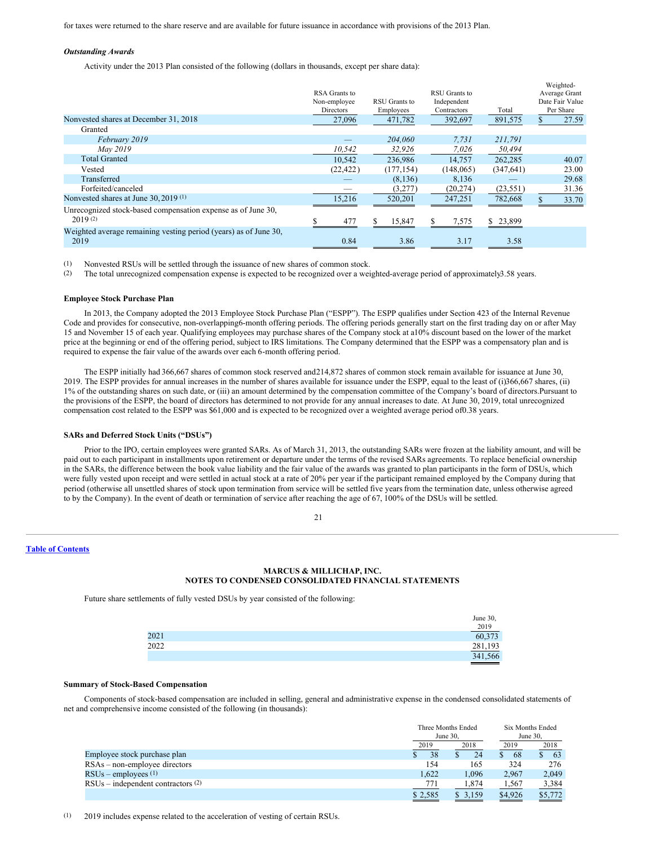for taxes were returned to the share reserve and are available for future issuance in accordance with provisions of the 2013 Plan.

#### *Outstanding Awards*

Activity under the 2013 Plan consisted of the following (dollars in thousands, except per share data):

|                                                                          | RSA Grants to<br>Non-employee<br><b>Directors</b> | RSU Grants to<br>Employees | RSU Grants to<br>Independent<br>Contractors | Total      | Weighted-<br>Average Grant<br>Date Fair Value<br>Per Share |
|--------------------------------------------------------------------------|---------------------------------------------------|----------------------------|---------------------------------------------|------------|------------------------------------------------------------|
| Nonvested shares at December 31, 2018                                    | 27,096                                            | 471,782                    | 392,697                                     | 891,575    | 27.59                                                      |
| Granted                                                                  |                                                   |                            |                                             |            |                                                            |
| February 2019                                                            |                                                   | 204.060                    | 7.731                                       | 211,791    |                                                            |
| May 2019                                                                 | 10,542                                            | 32,926                     | 7,026                                       | 50,494     |                                                            |
| <b>Total Granted</b>                                                     | 10,542                                            | 236,986                    | 14.757                                      | 262,285    | 40.07                                                      |
| Vested                                                                   | (22, 422)                                         | (177, 154)                 | (148, 065)                                  | (347, 641) | 23.00                                                      |
| Transferred                                                              |                                                   | (8,136)                    | 8,136                                       |            | 29.68                                                      |
| Forfeited/canceled                                                       |                                                   | (3,277)                    | (20, 274)                                   | (23, 551)  | 31.36                                                      |
| Nonvested shares at June 30, 2019 (1)                                    | 15,216                                            | 520,201                    | 247,251                                     | 782,668    | 33.70                                                      |
| Unrecognized stock-based compensation expense as of June 30,<br>2019(2)  | 477                                               | 15,847<br>S.               | 7,575                                       | \$23,899   |                                                            |
| Weighted average remaining vesting period (years) as of June 30,<br>2019 | 0.84                                              | 3.86                       | 3.17                                        | 3.58       |                                                            |

(1) Nonvested RSUs will be settled through the issuance of new shares of common stock.

(2) The total unrecognized compensation expense is expected to be recognized over a weighted-average period of approximately3.58 years.

#### **Employee Stock Purchase Plan**

In 2013, the Company adopted the 2013 Employee Stock Purchase Plan ("ESPP"). The ESPP qualifies under Section 423 of the Internal Revenue Code and provides for consecutive, non-overlapping6-month offering periods. The offering periods generally start on the first trading day on or after May 15 and November 15 of each year. Qualifying employees may purchase shares of the Company stock at a10% discount based on the lower of the market price at the beginning or end of the offering period, subject to IRS limitations. The Company determined that the ESPP was a compensatory plan and is required to expense the fair value of the awards over each 6-month offering period.

The ESPP initially had 366,667 shares of common stock reserved and214,872 shares of common stock remain available for issuance at June 30, 2019. The ESPP provides for annual increases in the number of shares available for issuance under the ESPP, equal to the least of (i)366,667 shares, (ii) 1% of the outstanding shares on such date, or (iii) an amount determined by the compensation committee of the Company's board of directors.Pursuant to the provisions of the ESPP, the board of directors has determined to not provide for any annual increases to date. At June 30, 2019, total unrecognized compensation cost related to the ESPP was \$61,000 and is expected to be recognized over a weighted average period of0.38 years.

#### **SARs and Deferred Stock Units ("DSUs")**

Prior to the IPO, certain employees were granted SARs. As of March 31, 2013, the outstanding SARs were frozen at the liability amount, and will be paid out to each participant in installments upon retirement or departure under the terms of the revised SARs agreements. To replace beneficial ownership in the SARs, the difference between the book value liability and the fair value of the awards was granted to plan participants in the form of DSUs, which were fully vested upon receipt and were settled in actual stock at a rate of 20% per year if the participant remained employed by the Company during that period (otherwise all unsettled shares of stock upon termination from service will be settled five yearsfrom the termination date, unless otherwise agreed to by the Company). In the event of death or termination of service after reaching the age of 67, 100% of the DSUs will be settled.

#### 21

#### **Table of [Contents](#page-1-0)**

#### **MARCUS & MILLICHAP, INC. NOTES TO CONDENSED CONSOLIDATED FINANCIAL STATEMENTS**

Future share settlements of fully vested DSUs by year consisted of the following:

|      | June 30,              |
|------|-----------------------|
|      |                       |
| 2021 | $\frac{2019}{60,373}$ |
| 2022 | 281,193               |
|      | 341,566               |

#### **Summary of Stock-Based Compensation**

Components of stock-based compensation are included in selling, general and administrative expense in the condensed consolidated statements of net and comprehensive income consisted of the following (in thousands):

|                                        |         | Three Months Ended | Six Months Ended |          |  |
|----------------------------------------|---------|--------------------|------------------|----------|--|
|                                        |         | June 30.           |                  | June 30. |  |
|                                        | 2019    | 2018               | 2019             | 2018     |  |
| Employee stock purchase plan           | 38      | 24                 | 68               | 63       |  |
| $RSAs - non-employee$ directors        | 154     | 165                | 324              | 276      |  |
| $RSUs$ – employees $(1)$               | 1.622   | 1.096              | 2.967            | 2.049    |  |
| $RSUs$ – independent contractors $(2)$ | 771     | 1.874              | 1,567            | 3,384    |  |
|                                        | \$2,585 | \$3.159            | \$4,926          | \$5,772  |  |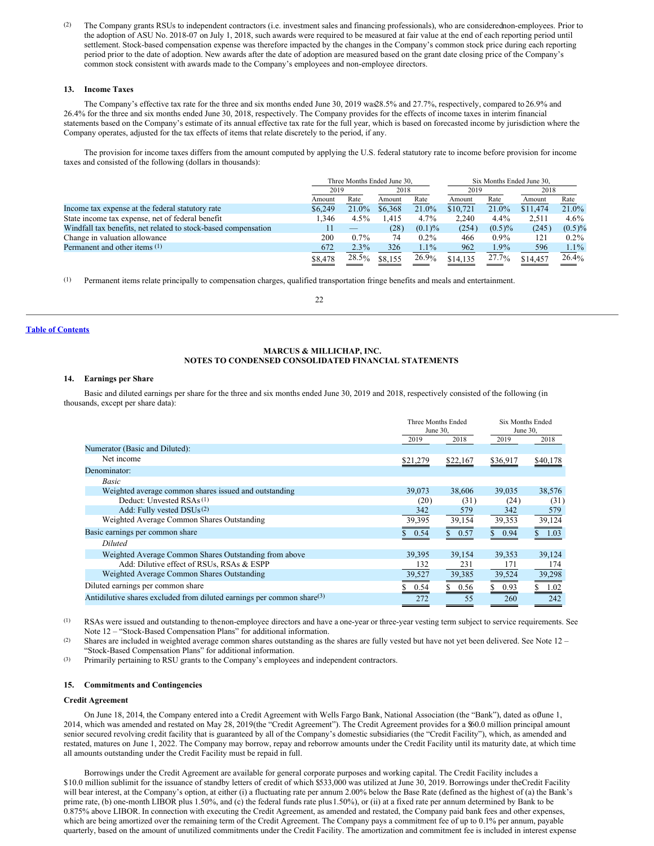<sup>(2)</sup> The Company grants RSUs to independent contractors (i.e. investment sales and financing professionals), who are considerednon-employees. Prior to the adoption of ASU No. 2018-07 on July 1, 2018, such awards were required to be measured at fair value at the end of each reporting period until settlement. Stock-based compensation expense was therefore impacted by the changes in the Company's common stock price during each reporting period prior to the date of adoption. New awards after the date of adoption are measured based on the grant date closing price of the Company's common stock consistent with awards made to the Company's employees and non-employee directors.

#### **13. Income Taxes**

The Company's effective tax rate for the three and six months ended June 30, 2019 was28.5% and 27.7%, respectively, compared to 26.9% and 26.4% for the three and six months ended June 30, 2018, respectively. The Company provides for the effects of income taxes in interim financial statements based on the Company's estimate of its annual effective tax rate for the full year, which is based on forecasted income by jurisdiction where the Company operates, adjusted for the tax effects of items that relate discretely to the period, if any.

The provision for income taxes differs from the amount computed by applying the U.S. federal statutory rate to income before provision for income taxes and consisted of the following (dollars in thousands):

|                                                                | Three Months Ended June 30. |         |         |           | Six Months Ended June 30. |           |          |           |
|----------------------------------------------------------------|-----------------------------|---------|---------|-----------|---------------------------|-----------|----------|-----------|
|                                                                | 2019                        |         |         | 2018      |                           | 2019      |          | 2018      |
|                                                                | Amount                      | Rate    | Amount  | Rate      | Amount                    | Rate      | Amount   | Rate      |
| Income tax expense at the federal statutory rate               | \$6,249                     | 21.0%   | \$6,368 | 21.0%     | \$10,721                  | 21.0%     | \$11,474 | 21.0%     |
| State income tax expense, net of federal benefit               | 1.346                       | $4.5\%$ | l.415   | $4.7\%$   | 2.240                     | 4.4%      | 2.511    | $4.6\%$   |
| Windfall tax benefits, net related to stock-based compensation |                             |         | (28)    | $(0.1)\%$ | (254)                     | $(0.5)\%$ | (245)    | $(0.5)\%$ |
| Change in valuation allowance                                  | 200                         | $0.7\%$ | 74      | $0.2\%$   | 466                       | $0.9\%$   | 121      | $0.2\%$   |
| Permanent and other items $(1)$                                | 672                         | 2.3%    | 326     | 1.1%      | 962                       | 1.9%      | 596      | $1.1\%$   |
|                                                                | \$8,478                     | 28.5%   | \$8,155 | 26.9%     | \$14.135                  | 27.7%     | \$14,457 | 26.4%     |

(1) Permanent items relate principally to compensation charges, qualified transportation fringe benefits and meals and entertainment.

22

#### **Table of [Contents](#page-1-0)**

#### **MARCUS & MILLICHAP, INC. NOTES TO CONDENSED CONSOLIDATED FINANCIAL STATEMENTS**

#### **14. Earnings per Share**

Basic and diluted earnings per share for the three and six months ended June 30, 2019 and 2018, respectively consisted of the following (in thousands, except per share data):

|                                                                        | Three Months Ended<br>June 30, |          | Six Months Ended<br>June 30, |          |
|------------------------------------------------------------------------|--------------------------------|----------|------------------------------|----------|
|                                                                        | 2019                           | 2018     | 2019                         | 2018     |
| Numerator (Basic and Diluted):                                         |                                |          |                              |          |
| Net income                                                             | \$21,279                       | \$22,167 | \$36,917                     | \$40,178 |
| Denominator:                                                           |                                |          |                              |          |
| Basic                                                                  |                                |          |                              |          |
| Weighted average common shares issued and outstanding                  | 39,073                         | 38,606   | 39,035                       | 38,576   |
| Deduct: Unvested RSAs <sup>(1)</sup>                                   | (20)                           | (31)     | (24)                         | (31)     |
| Add: Fully vested $DSUs(2)$                                            | 342                            | 579      | 342                          | 579      |
| Weighted Average Common Shares Outstanding                             | 39,395                         | 39,154   | 39,353                       | 39,124   |
| Basic earnings per common share                                        | \$0.54                         | \$0.57   | \$0.94                       | \$1.03   |
| <b>Diluted</b>                                                         |                                |          |                              |          |
| Weighted Average Common Shares Outstanding from above                  | 39,395                         | 39,154   | 39,353                       | 39,124   |
| Add: Dilutive effect of RSUs, RSAs & ESPP                              | 132                            | 231      | 171                          | 174      |
| Weighted Average Common Shares Outstanding                             | 39,527                         | 39,385   | 39,524                       | 39,298   |
| Diluted earnings per common share                                      | 0.54                           | \$0.56   | 0.93                         | 1.02     |
| Antidilutive shares excluded from diluted earnings per common share(3) | 272                            | 55       | 260                          | 242      |

(1) RSAs were issued and outstanding to thenon-employee directors and have a one-year or three-year vesting term subject to service requirements. See Note 12 – "Stock-Based Compensation Plans" for additional information.

(2) Shares are included in weighted average common shares outstanding as the shares are fully vested but have not yet been delivered. See Note 12 – "Stock-Based Compensation Plans" for additional information.

(3) Primarily pertaining to RSU grants to the Company's employees and independent contractors.

#### **15. Commitments and Contingencies**

#### **Credit Agreement**

On June 18, 2014, the Company entered into a Credit Agreement with Wells Fargo Bank, National Association (the "Bank"), dated as ofJune 1, 2014, which was amended and restated on May 28, 2019(the "Credit Agreement"). The Credit Agreement provides for a \$60.0 million principal amount senior secured revolving credit facility that is guaranteed by all of the Company's domestic subsidiaries (the "Credit Facility"), which, as amended and restated, matures on June 1, 2022. The Company may borrow, repay and reborrow amounts under the Credit Facility until its maturity date, at which time all amounts outstanding under the Credit Facility must be repaid in full.

Borrowings under the Credit Agreement are available for general corporate purposes and working capital. The Credit Facility includes a \$10.0 million sublimit for the issuance of standby letters of credit of which \$533,000 was utilized at June 30, 2019. Borrowings under theCredit Facility will bear interest, at the Company's option, at either (i) a fluctuating rate per annum 2.00% below the Base Rate (defined as the highest of (a) the Bank's prime rate, (b) one-month LIBOR plus 1.50%, and (c) the federal funds rate plus1.50%), or (ii) at a fixed rate per annum determined by Bank to be 0.875% above LIBOR. In connection with executing the Credit Agreement, as amended and restated, the Company paid bank fees and other expenses, which are being amortized over the remaining term of the Credit Agreement. The Company pays a commitment fee of up to 0.1% per annum, payable quarterly, based on the amount of unutilized commitments under the Credit Facility. The amortization and commitment fee is included in interest expense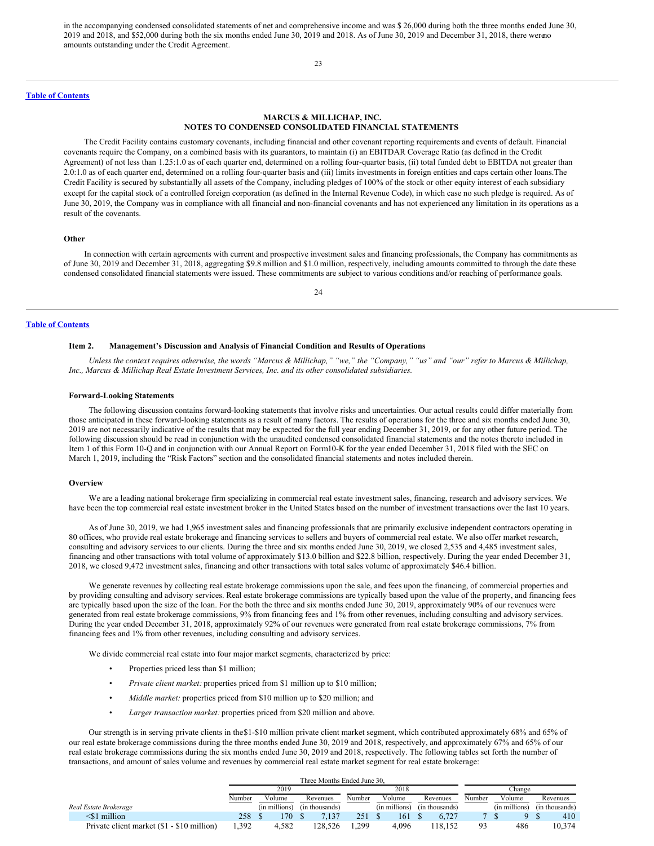in the accompanying condensed consolidated statements of net and comprehensive income and was \$ 26,000 during both the three months ended June 30, 2019 and 2018, and \$52,000 during both the six months ended June 30, 2019 and 2018. As of June 30, 2019 and December 31, 2018, there wereno amounts outstanding under the Credit Agreement.

#### **Table of [Contents](#page-1-0)**

#### **MARCUS & MILLICHAP, INC. NOTES TO CONDENSED CONSOLIDATED FINANCIAL STATEMENTS**

The Credit Facility contains customary covenants, including financial and other covenant reporting requirements and events of default. Financial covenants require the Company, on a combined basis with its guarantors, to maintain (i) an EBITDAR Coverage Ratio (as defined in the Credit Agreement) of not less than 1.25:1.0 as of each quarter end, determined on a rolling four-quarter basis, (ii) total funded debt to EBITDA not greater than 2.0:1.0 as of each quarter end, determined on a rolling four-quarter basis and (iii) limits investments in foreign entities and caps certain other loans.The Credit Facility is secured by substantially all assets of the Company, including pledges of 100% of the stock or other equity interest of each subsidiary except for the capital stock of a controlled foreign corporation (as defined in the Internal Revenue Code), in which case no such pledge is required. As of June 30, 2019, the Company was in compliance with all financial and non-financial covenants and has not experienced any limitation in its operations as a result of the covenants.

#### **Other**

In connection with certain agreements with current and prospective investment sales and financing professionals, the Company has commitments as of June 30, 2019 and December 31, 2018, aggregating \$9.8 million and \$1.0 million, respectively, including amounts committed to through the date these condensed consolidated financial statements were issued. These commitments are subject to various conditions and/or reaching of performance goals.

24

#### **Table of [Contents](#page-1-0)**

#### **Item 2. Management's Discussion and Analysis of Financial Condition and Results of Operations**

Unless the context requires otherwise, the words "Marcus & Millichap," "we," the "Company," "us" and "our" refer to Marcus & Millichap, *Inc., Marcus & Millichap Real Estate Investment Services, Inc. and its other consolidated subsidiaries.*

#### **Forward-Looking Statements**

The following discussion contains forward-looking statements that involve risks and uncertainties. Our actual results could differ materially from those anticipated in these forward-looking statements as a result of many factors. The results of operations for the three and six months ended June 30, 2019 are not necessarily indicative of the results that may be expected for the full year ending December 31, 2019, or for any other future period. The following discussion should be read in conjunction with the unaudited condensed consolidated financial statements and the notes thereto included in Item 1 of this Form 10-Q and in conjunction with our Annual Report on Form10-K for the year ended December 31, 2018 filed with the SEC on March 1, 2019, including the "Risk Factors" section and the consolidated financial statements and notes included therein.

#### **Overview**

We are a leading national brokerage firm specializing in commercial real estate investment sales, financing, research and advisory services. We have been the top commercial real estate investment broker in the United States based on the number of investment transactions over the last 10 years.

As of June 30, 2019, we had 1,965 investment sales and financing professionals that are primarily exclusive independent contractors operating in 80 offices, who provide real estate brokerage and financing services to sellers and buyers of commercial real estate. We also offer market research, consulting and advisory services to our clients. During the three and six months ended June 30, 2019, we closed 2,535 and 4,485 investment sales, financing and other transactions with total volume of approximately \$13.0 billion and \$22.8 billion, respectively. During the year ended December 31, 2018, we closed 9,472 investment sales, financing and other transactions with total sales volume of approximately \$46.4 billion.

We generate revenues by collecting real estate brokerage commissions upon the sale, and fees upon the financing, of commercial properties and by providing consulting and advisory services. Real estate brokerage commissions are typically based upon the value of the property, and financing fees are typically based upon the size of the loan. For the both the three and six months ended June 30, 2019, approximately 90% of our revenues were generated from real estate brokerage commissions, 9% from financing fees and 1% from other revenues, including consulting and advisory services. During the year ended December 31, 2018, approximately 92% of our revenues were generated from real estate brokerage commissions, 7% from financing fees and 1% from other revenues, including consulting and advisory services.

We divide commercial real estate into four major market segments, characterized by price:

- Properties priced less than \$1 million;
- *Private client market:* properties priced from \$1 million up to \$10 million;
- *Middle market:* properties priced from \$10 million up to \$20 million; and
- *Larger transaction market:* properties priced from \$20 million and above.

Our strength is in serving private clients in the\$1-\$10 million private client market segment, which contributed approximately 68% and 65% of our real estate brokerage commissions during the three months ended June 30, 2019 and 2018, respectively, and approximately 67% and 65% of our real estate brokerage commissions during the six months ended June 30, 2019 and 2018, respectively. The following tables set forth the number of transactions, and amount of sales volume and revenues by commercial real estate market segment for real estate brokerage:

|                                            |        |               | Three Months Ended June 30. |        |               |                |        |               |                |  |
|--------------------------------------------|--------|---------------|-----------------------------|--------|---------------|----------------|--------|---------------|----------------|--|
|                                            | 2019   |               |                             |        | 2018          |                | Thange |               |                |  |
|                                            | Number | Volume        | Revenues                    | Number | Volume        | Revenues       | Number | Volume        | Revenues       |  |
| Real Estate Brokerage                      |        | (in millions) | (in thousands)              |        | (in millions) | (in thousands) |        | (in millions) | (in thousands) |  |
| $\leq$ 1 million                           | 258    | 70            | .137                        | 251    | 161           | 6.727          |        |               | 410            |  |
| Private client market (\$1 - \$10 million) | .392   | 4.582         | 128.526                     | .299   | 4.096         | 18.152         | Q٦     | 486           | 10.374         |  |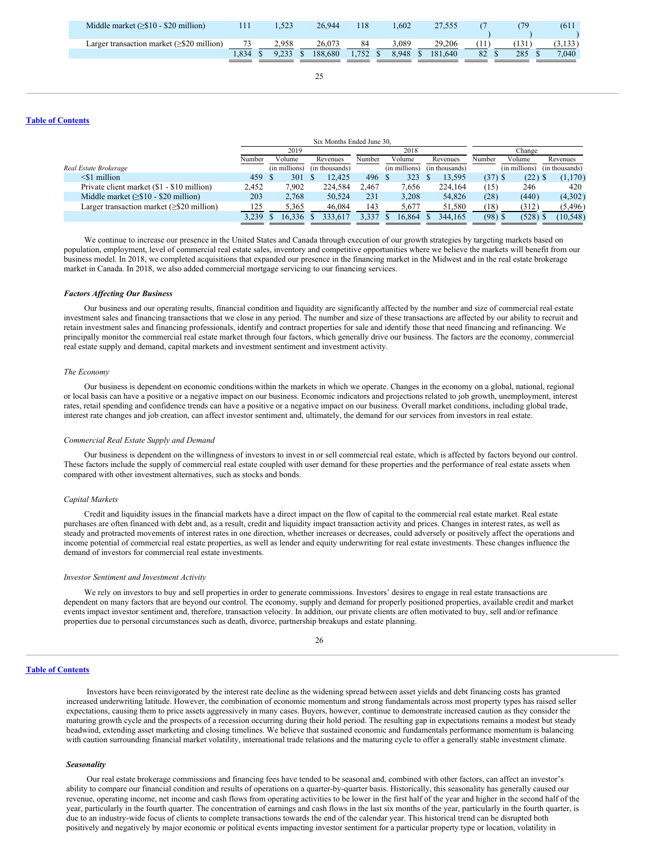| Middle market $(\geq 10 - $20$ million)       | 111   | 1.523 | 26,944  | 118   | 1.602 | 27,555  |    | 79  | (611)    |
|-----------------------------------------------|-------|-------|---------|-------|-------|---------|----|-----|----------|
| Larger transaction market $(\geq 20$ million) | 73    | 2.958 | 26.073  | 84    | 3.089 | 29.206  | 11 | 131 | (3, 133) |
|                                               | 1.834 | 9.233 | 188,680 | 1.752 | 8.948 | 181.640 | 82 | 285 | 7.040    |
|                                               |       |       |         |       |       |         |    |     |          |
|                                               |       |       | 25      |       |       |         |    |     |          |

#### **Table of [Contents](#page-1-0)**

|                                                 |        |               | Six Months Ended June 30. |        |               |                |           |               |                |
|-------------------------------------------------|--------|---------------|---------------------------|--------|---------------|----------------|-----------|---------------|----------------|
|                                                 | 2019   |               |                           |        | 2018          |                | Change    |               |                |
|                                                 | Number | Volume        | Revenues                  | Number | Volume        | Revenues       | Number    | Volume        | Revenues       |
| Real Estate Brokerage                           |        | (in millions) | (in thousands)            |        | (in millions) | (in thousands) |           | (in millions) | (in thousands) |
| $\leq$ 1 million                                | 459 \$ | 301           | 12.425                    | 496    | 323           | 13.595         | (37) S    | $(22)$ \$     | (1,170)        |
| Private client market (\$1 - \$10 million)      | 2.452  | 7.902         | 224.584                   | 2.467  | 7,656         | 224,164        | (15)      | 246           | 420            |
| Middle market $(\geq $10 - $20$ million)        | 203    | 2,768         | 50,524                    | 231    | 3,208         | 54,826         | (28)      | (440)         | (4,302)        |
| Larger transaction market $(\geq$ \$20 million) | 125    | 5,365         | 46,084                    | 143    | 5,677         | 51,580         | (18)      | (312)         | (5, 496)       |
|                                                 | 3.239  | 16.336        | 333.617                   | 3.337  | 16.864        | 344.165        | $(98)$ \$ | $(528)$ \$    | (10.548)       |

We continue to increase our presence in the United States and Canada through execution of our growth strategies by targeting markets based on population, employment, level of commercial real estate sales, inventory and competitive opportunities where we believe the markets will benefit from our business model. In 2018, we completed acquisitions that expanded our presence in the financing market in the Midwest and in the real estate brokerage market in Canada. In 2018, we also added commercial mortgage servicing to our financing services.

#### *Factors Af ecting Our Business*

Our business and our operating results, financial condition and liquidity are significantly affected by the number and size of commercial real estate investment sales and financing transactions that we close in any period. The number and size of these transactions are affected by our ability to recruit and retain investment sales and financing professionals, identify and contract properties for sale and identify those that need financing and refinancing. We principally monitor the commercial real estate market through four factors, which generally drive our business. The factors are the economy, commercial real estate supply and demand, capital markets and investment sentiment and investment activity.

#### *The Economy*

Our business is dependent on economic conditions within the markets in which we operate. Changes in the economy on a global, national, regional or local basis can have a positive or a negative impact on our business. Economic indicators and projections related to job growth, unemployment, interest rates, retail spending and confidence trends can have a positive or a negative impact on our business. Overall market conditions, including global trade, interest rate changes and job creation, can affect investor sentiment and, ultimately, the demand for our services from investors in real estate.

#### *Commercial Real Estate Supply and Demand*

Our business is dependent on the willingness of investors to invest in or sell commercial real estate, which is affected by factors beyond our control. These factors include the supply of commercial real estate coupled with user demand for these properties and the performance of real estate assets when compared with other investment alternatives, such as stocks and bonds.

#### *Capital Markets*

Credit and liquidity issues in the financial markets have a direct impact on the flow of capital to the commercial real estate market. Real estate purchases are often financed with debt and, as a result, credit and liquidity impact transaction activity and prices. Changes in interest rates, as well as steady and protracted movements of interest rates in one direction, whether increases or decreases, could adversely or positively affect the operations and income potential of commercial real estate properties, as well as lender and equity underwriting for real estate investments. These changes influence the demand of investors for commercial real estate investments.

#### *Investor Sentiment and Investment Activity*

We rely on investors to buy and sell properties in order to generate commissions. Investors' desires to engage in real estate transactions are dependent on many factors that are beyond our control. The economy, supply and demand for properly positioned properties, available credit and market events impact investor sentiment and, therefore, transaction velocity. In addition, our private clients are often motivated to buy, sell and/or refinance properties due to personal circumstances such as death, divorce, partnership breakups and estate planning.

#### 26

#### **Table of [Contents](#page-1-0)**

Investors have been reinvigorated by the interest rate decline as the widening spread between asset yields and debt financing costs has granted increased underwriting latitude. However, the combination of economic momentum and strong fundamentals across most property types has raised seller expectations, causing them to price assets aggressively in many cases. Buyers, however, continue to demonstrate increased caution as they consider the maturing growth cycle and the prospects of a recession occurring during their hold period. The resulting gap in expectations remains a modest but steady headwind, extending asset marketing and closing timelines. We believe that sustained economic and fundamentals performance momentum is balancing with caution surrounding financial market volatility, international trade relations and the maturing cycle to offer a generally stable investment climate.

#### *Seasonality*

Our real estate brokerage commissions and financing fees have tended to be seasonal and, combined with other factors, can affect an investor's ability to compare our financial condition and results of operations on a quarter-by-quarter basis. Historically, this seasonality has generally caused our revenue, operating income, net income and cash flows from operating activities to be lower in the first half of the year and higher in the second half of the year, particularly in the fourth quarter. The concentration of earnings and cash flows in the last six months of the year, particularly in the fourth quarter, is due to an industry-wide focus of clients to complete transactions towards the end of the calendar year. This historical trend can be disrupted both positively and negatively by major economic or political events impacting investor sentiment for a particular property type or location, volatility in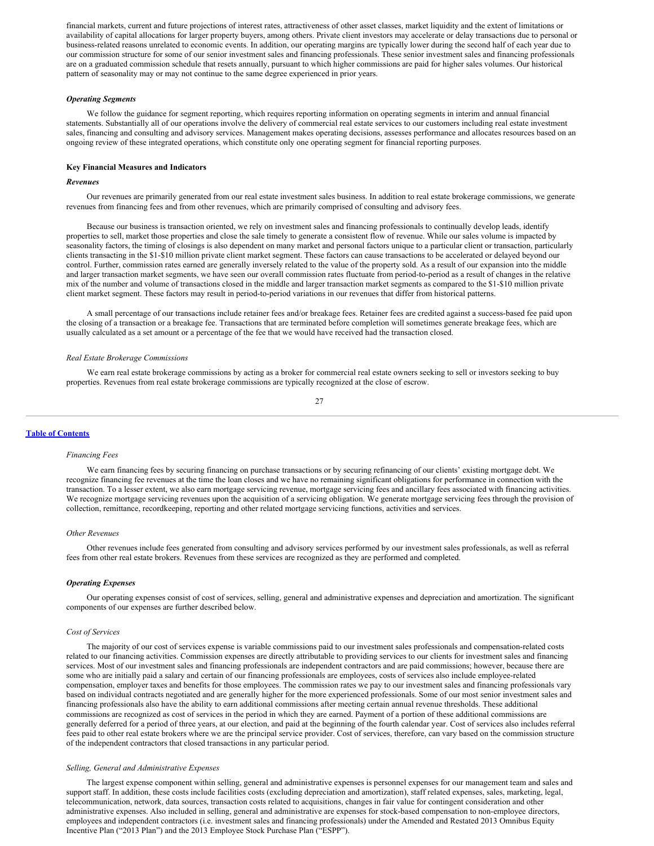financial markets, current and future projections of interest rates, attractiveness of other asset classes, market liquidity and the extent of limitations or availability of capital allocations for larger property buyers, among others. Private client investors may accelerate or delay transactions due to personal or business-related reasons unrelated to economic events. In addition, our operating margins are typically lower during the second half of each year due to our commission structure for some of our senior investment sales and financing professionals. These senior investment sales and financing professionals are on a graduated commission schedule that resets annually, pursuant to which higher commissions are paid for higher sales volumes. Our historical pattern of seasonality may or may not continue to the same degree experienced in prior years.

#### *Operating Segments*

We follow the guidance for segment reporting, which requires reporting information on operating segments in interim and annual financial statements. Substantially all of our operations involve the delivery of commercial real estate services to our customers including real estate investment sales, financing and consulting and advisory services. Management makes operating decisions, assesses performance and allocates resources based on an ongoing review of these integrated operations, which constitute only one operating segment for financial reporting purposes.

#### **Key Financial Measures and Indicators**

#### *Revenues*

Our revenues are primarily generated from our real estate investment sales business. In addition to real estate brokerage commissions, we generate revenues from financing fees and from other revenues, which are primarily comprised of consulting and advisory fees.

Because our business is transaction oriented, we rely on investment sales and financing professionals to continually develop leads, identify properties to sell, market those properties and close the sale timely to generate a consistent flow of revenue. While our sales volume is impacted by seasonality factors, the timing of closings is also dependent on many market and personal factors unique to a particular client or transaction, particularly clients transacting in the \$1-\$10 million private client market segment. These factors can cause transactions to be accelerated or delayed beyond our control. Further, commission rates earned are generally inversely related to the value of the property sold. As a result of our expansion into the middle and larger transaction market segments, we have seen our overall commission rates fluctuate from period-to-period as a result of changes in the relative mix of the number and volume of transactions closed in the middle and larger transaction market segments as compared to the \$1-\$10 million private client market segment. These factors may result in period-to-period variations in our revenues that differ from historical patterns.

A small percentage of our transactions include retainer fees and/or breakage fees. Retainer fees are credited against a success-based fee paid upon the closing of a transaction or a breakage fee. Transactions that are terminated before completion will sometimes generate breakage fees, which are usually calculated as a set amount or a percentage of the fee that we would have received had the transaction closed.

#### *Real Estate Brokerage Commissions*

We earn real estate brokerage commissions by acting as a broker for commercial real estate owners seeking to sell or investors seeking to buy properties. Revenues from real estate brokerage commissions are typically recognized at the close of escrow.

27

#### **Table of [Contents](#page-1-0)**

#### *Financing Fees*

We earn financing fees by securing financing on purchase transactions or by securing refinancing of our clients' existing mortgage debt. We recognize financing fee revenues at the time the loan closes and we have no remaining significant obligations for performance in connection with the transaction. To a lesser extent, we also earn mortgage servicing revenue, mortgage servicing fees and ancillary fees associated with financing activities. We recognize mortgage servicing revenues upon the acquisition of a servicing obligation. We generate mortgage servicing fees through the provision of collection, remittance, recordkeeping, reporting and other related mortgage servicing functions, activities and services.

#### *Other Revenues*

Other revenues include fees generated from consulting and advisory services performed by our investment sales professionals, as well as referral fees from other real estate brokers. Revenues from these services are recognized as they are performed and completed.

#### *Operating Expenses*

Our operating expenses consist of cost of services, selling, general and administrative expenses and depreciation and amortization. The significant components of our expenses are further described below.

#### *Cost of Services*

The majority of our cost of services expense is variable commissions paid to our investment sales professionals and compensation-related costs related to our financing activities. Commission expenses are directly attributable to providing services to our clients for investment sales and financing services. Most of our investment sales and financing professionals are independent contractors and are paid commissions; however, because there are some who are initially paid a salary and certain of our financing professionals are employees, costs of services also include employee-related compensation, employer taxes and benefits for those employees. The commission rates we pay to our investment sales and financing professionals vary based on individual contracts negotiated and are generally higher for the more experienced professionals. Some of our most senior investment sales and financing professionals also have the ability to earn additional commissions after meeting certain annual revenue thresholds. These additional commissions are recognized as cost of services in the period in which they are earned. Payment of a portion of these additional commissions are generally deferred for a period of three years, at our election, and paid at the beginning of the fourth calendar year. Cost of services also includes referral fees paid to other real estate brokers where we are the principal service provider. Cost of services, therefore, can vary based on the commission structure of the independent contractors that closed transactions in any particular period.

#### *Selling, General and Administrative Expenses*

The largest expense component within selling, general and administrative expenses is personnel expenses for our management team and sales and support staff. In addition, these costs include facilities costs (excluding depreciation and amortization), staff related expenses, sales, marketing, legal, telecommunication, network, data sources, transaction costs related to acquisitions, changes in fair value for contingent consideration and other administrative expenses. Also included in selling, general and administrative are expenses for stock-based compensation to non-employee directors, employees and independent contractors (i.e. investment sales and financing professionals) under the Amended and Restated 2013 Omnibus Equity Incentive Plan ("2013 Plan") and the 2013 Employee Stock Purchase Plan ("ESPP").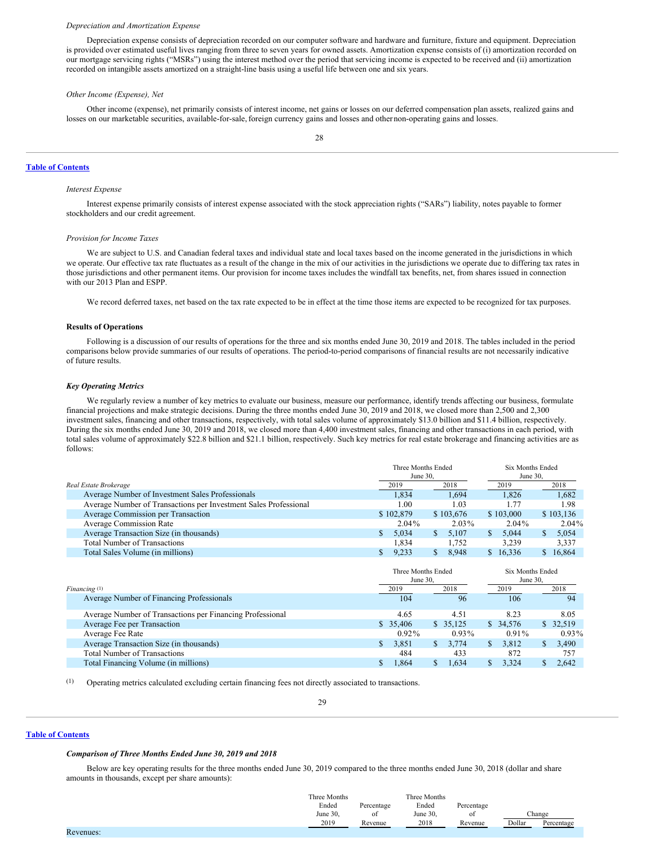#### *Depreciation and Amortization Expense*

Depreciation expense consists of depreciation recorded on our computer software and hardware and furniture, fixture and equipment. Depreciation is provided over estimated useful lives ranging from three to seven years for owned assets. Amortization expense consists of (i) amortization recorded on our mortgage servicing rights ("MSRs") using the interest method over the period that servicing income is expected to be received and (ii) amortization recorded on intangible assets amortized on a straight-line basis using a useful life between one and six years.

#### *Other Income (Expense), Net*

Other income (expense), net primarily consists of interest income, net gains or losses on our deferred compensation plan assets, realized gains and losses on our marketable securities, available-for-sale, foreign currency gains and losses and other non-operating gains and losses.

#### **Table of [Contents](#page-1-0)**

#### *Interest Expense*

Interest expense primarily consists of interest expense associated with the stock appreciation rights ("SARs") liability, notes payable to former stockholders and our credit agreement.

#### *Provision for Income Taxes*

We are subject to U.S. and Canadian federal taxes and individual state and local taxes based on the income generated in the jurisdictions in which we operate. Our effective tax rate fluctuates as a result of the change in the mix of our activities in the jurisdictions we operate due to differing tax rates in those jurisdictions and other permanent items. Our provision for income taxes includes the windfall tax benefits, net, from shares issued in connection with our 2013 Plan and ESPP.

We record deferred taxes, net based on the tax rate expected to be in effect at the time those items are expected to be recognized for tax purposes.

#### **Results of Operations**

Following is a discussion of our results of operations for the three and six months ended June 30, 2019 and 2018. The tables included in the period comparisons below provide summaries of our results of operations. The period-to-period comparisons of financial results are not necessarily indicative of future results.

#### *Key Operating Metrics*

We regularly review a number of key metrics to evaluate our business, measure our performance, identify trends affecting our business, formulate financial projections and make strategic decisions. During the three months ended June 30, 2019 and 2018, we closed more than 2,500 and 2,300 investment sales, financing and other transactions, respectively, with total sales volume of approximately \$13.0 billion and \$11.4 billion, respectively. During the six months ended June 30, 2019 and 2018, we closed more than 4,400 investment sales, financing and other transactions in each period, with total sales volume of approximately \$22.8 billion and \$21.1 billion, respectively. Such key metrics for real estate brokerage and financing activities are as follows:

|                                                                  | Three Months Ended<br>June 30, |             | Six Months Ended<br>June 30, |           |  |
|------------------------------------------------------------------|--------------------------------|-------------|------------------------------|-----------|--|
| Real Estate Brokerage                                            | 2019                           | 2018        | 2019                         | 2018      |  |
| Average Number of Investment Sales Professionals                 | 1.834                          | 1.694       | 1.826                        | 1,682     |  |
| Average Number of Transactions per Investment Sales Professional | 1.00                           | 1.03        | l.77                         | 1.98      |  |
| Average Commission per Transaction                               | \$102,879                      | \$103,676   | \$103,000                    | \$103.136 |  |
| <b>Average Commission Rate</b>                                   | $2.04\%$                       | 2.03%       | $2.04\%$                     | $2.04\%$  |  |
| Average Transaction Size (in thousands)                          | 5.034                          | 5.107<br>S. | 5.044<br>S.                  | 5,054     |  |
| <b>Total Number of Transactions</b>                              | 1.834                          | 1.752       | 3.239                        | 3.337     |  |
| Total Sales Volume (in millions)                                 | 9.233                          | 8.948       | \$16.336                     | 16.864    |  |

|                                                           |          | Three Months Ended<br>June 30. | Six Months Ended<br>June 30. |            |  |
|-----------------------------------------------------------|----------|--------------------------------|------------------------------|------------|--|
| Financing $(1)$                                           | 2019     | 2018                           | 2019                         | 2018       |  |
| Average Number of Financing Professionals                 | 104      | 96                             | 106                          | 94         |  |
| Average Number of Transactions per Financing Professional | 4.65     | 4.51                           | 8.23                         | 8.05       |  |
| Average Fee per Transaction                               | \$35,406 | \$35.125                       | \$ 34,576                    | \$32,519   |  |
| Average Fee Rate                                          | $0.92\%$ | $0.93\%$                       | $0.91\%$                     | $0.93\%$   |  |
| Average Transaction Size (in thousands)                   | 3.851    | 3.774                          | 3.812<br><sup>S</sup>        | 3,490<br>S |  |
| <b>Total Number of Transactions</b>                       | 484      | 433                            | 872                          | 757        |  |
| Total Financing Volume (in millions)                      | 1.864    | 1.634                          | 3.324                        | 2.642      |  |

(1) Operating metrics calculated excluding certain financing fees not directly associated to transactions.

29

#### **Table of [Contents](#page-1-0)**

#### *Comparison of Three Months Ended June 30, 2019 and 2018*

Below are key operating results for the three months ended June 30, 2019 compared to the three months ended June 30, 2018 (dollar and share amounts in thousands, except per share amounts):

| Three Months |            | Three Months |            |        |            |
|--------------|------------|--------------|------------|--------|------------|
| Ended        | Percentage | Ended        | Percentage |        |            |
| June 30.     | of         | June 30,     | of         |        | Change     |
| 2019         | Revenue    | 2018         | Revenue    | Dollar | Percentage |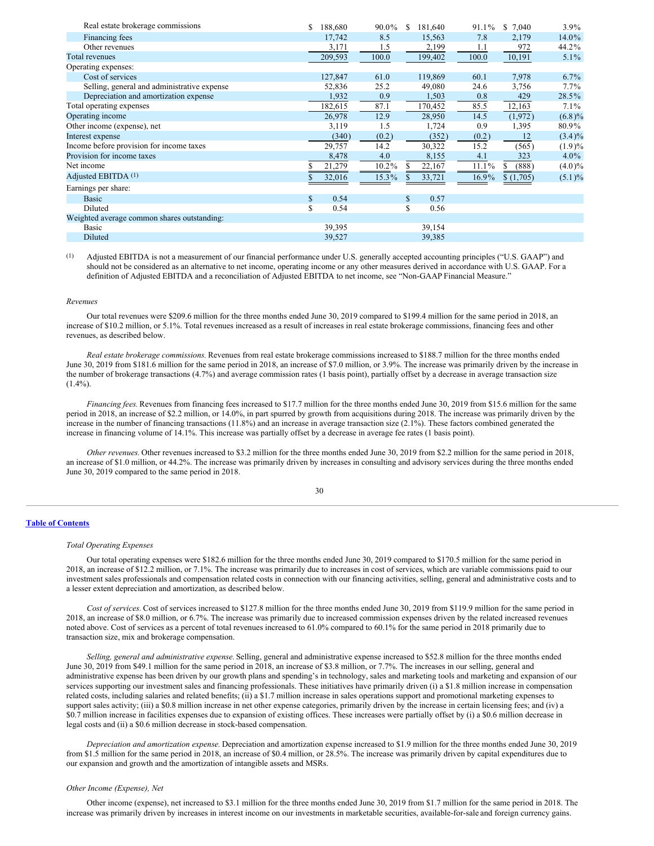| Real estate brokerage commissions           |    | 188,680 | 90.0%    | S. | 181,640 | 91.1%    | \$ 7,040   | 3.9%      |
|---------------------------------------------|----|---------|----------|----|---------|----------|------------|-----------|
| Financing fees                              |    | 17,742  | 8.5      |    | 15,563  | 7.8      | 2,179      | $14.0\%$  |
| Other revenues                              |    | 3,171   | 1.5      |    | 2,199   | 1.1      | 972        | 44.2%     |
| Total revenues                              |    | 209,593 | 100.0    |    | 199,402 | 100.0    | 10,191     | $5.1\%$   |
| Operating expenses:                         |    |         |          |    |         |          |            |           |
| Cost of services                            |    | 127,847 | 61.0     |    | 119,869 | 60.1     | 7,978      | $6.7\%$   |
| Selling, general and administrative expense |    | 52,836  | 25.2     |    | 49,080  | 24.6     | 3,756      | $7.7\%$   |
| Depreciation and amortization expense       |    | 1,932   | 0.9      |    | 1,503   | 0.8      | 429        | 28.5%     |
| Total operating expenses                    |    | 182,615 | 87.1     |    | 170,452 | 85.5     | 12,163     | $7.1\%$   |
| Operating income                            |    | 26,978  | 12.9     |    | 28,950  | 14.5     | (1,972)    | $(6.8)\%$ |
| Other income (expense), net                 |    | 3,119   | 1.5      |    | 1,724   | 0.9      | 1,395      | 80.9%     |
| Interest expense                            |    | (340)   | (0.2)    |    | (352)   | (0.2)    | 12         | $(3.4)\%$ |
| Income before provision for income taxes    |    | 29,757  | 14.2     |    | 30,322  | 15.2     | (565)      | $(1.9)\%$ |
| Provision for income taxes                  |    | 8,478   | 4.0      |    | 8,155   | 4.1      | 323        | $4.0\%$   |
| Net income                                  |    | 21,279  | $10.2\%$ | S  | 22,167  | $11.1\%$ | S<br>(888) | $(4.0)\%$ |
| Adjusted EBITDA (1)                         |    | 32,016  | 15.3%    |    | 33,721  | 16.9%    | \$(1,705)  | $(5.1)\%$ |
| Earnings per share:                         |    |         |          |    |         |          |            |           |
| <b>Basic</b>                                | \$ | 0.54    |          | \$ | 0.57    |          |            |           |
| Diluted                                     | S  | 0.54    |          | \$ | 0.56    |          |            |           |
| Weighted average common shares outstanding: |    |         |          |    |         |          |            |           |
| Basic                                       |    | 39,395  |          |    | 39,154  |          |            |           |
| Diluted                                     |    | 39,527  |          |    | 39,385  |          |            |           |
|                                             |    |         |          |    |         |          |            |           |

(1) Adjusted EBITDA is not a measurement of our financial performance under U.S. generally accepted accounting principles ("U.S. GAAP") and should not be considered as an alternative to net income, operating income or any other measures derived in accordance with U.S. GAAP. For a definition of Adjusted EBITDA and a reconciliation of Adjusted EBITDA to net income, see "Non-GAAP Financial Measure."

#### *Revenues*

Our total revenues were \$209.6 million for the three months ended June 30, 2019 compared to \$199.4 million for the same period in 2018, an increase of \$10.2 million, or 5.1%. Total revenues increased as a result of increases in real estate brokerage commissions, financing fees and other revenues, as described below.

*Real estate brokerage commissions.* Revenues from real estate brokerage commissions increased to \$188.7 million for the three months ended June 30, 2019 from \$181.6 million for the same period in 2018, an increase of \$7.0 million, or 3.9%. The increase was primarily driven by the increase in the number of brokerage transactions (4.7%) and average commission rates (1 basis point), partially offset by a decrease in average transaction size  $(1.4\%)$ .

*Financing fees*. Revenues from financing fees increased to \$17.7 million for the three months ended June 30, 2019 from \$15.6 million for the same period in 2018, an increase of \$2.2 million, or 14.0%, in part spurred by growth from acquisitions during 2018. The increase was primarily driven by the increase in the number of financing transactions (11.8%) and an increase in average transaction size (2.1%). These factors combined generated the increase in financing volume of 14.1%. This increase was partially offset by a decrease in average fee rates (1 basis point).

*Other revenues.* Other revenues increased to \$3.2 million for the three months ended June 30, 2019 from \$2.2 million for the same period in 2018, an increase of \$1.0 million, or 44.2%. The increase was primarily driven by increases in consulting and advisory services during the three months ended June 30, 2019 compared to the same period in 2018.

30

#### **Table of [Contents](#page-1-0)**

#### *Total Operating Expenses*

Our total operating expenses were \$182.6 million for the three months ended June 30, 2019 compared to \$170.5 million for the same period in 2018, an increase of \$12.2 million, or 7.1%. The increase was primarily due to increases in cost of services, which are variable commissions paid to our investment sales professionals and compensation related costs in connection with our financing activities, selling, general and administrative costs and to a lesser extent depreciation and amortization, as described below.

*Cost of services.* Cost of services increased to \$127.8 million for the three months ended June 30, 2019 from \$119.9 million for the same period in 2018, an increase of \$8.0 million, or 6.7%. The increase was primarily due to increased commission expenses driven by the related increased revenues noted above. Cost of services as a percent of total revenues increased to 61.0% compared to 60.1% for the same period in 2018 primarily due to transaction size, mix and brokerage compensation.

*Selling, general and administrative expense.* Selling, general and administrative expense increased to \$52.8 million for the three months ended June 30, 2019 from \$49.1 million for the same period in 2018, an increase of \$3.8 million, or 7.7%. The increases in our selling, general and administrative expense has been driven by our growth plans and spending's in technology, sales and marketing tools and marketing and expansion of our services supporting our investment sales and financing professionals. These initiatives have primarily driven (i) a \$1.8 million increase in compensation related costs, including salaries and related benefits; (ii) a \$1.7 million increase in sales operations support and promotional marketing expenses to support sales activity; (iii) a \$0.8 million increase in net other expense categories, primarily driven by the increase in certain licensing fees; and (iv) a \$0.7 million increase in facilities expenses due to expansion of existing offices. These increases were partially offset by (i) a \$0.6 million decrease in legal costs and (ii) a \$0.6 million decrease in stock-based compensation.

*Depreciation and amortization expense.* Depreciation and amortization expense increased to \$1.9 million for the three months ended June 30, 2019 from \$1.5 million for the same period in 2018, an increase of \$0.4 million, or 28.5%. The increase was primarily driven by capital expenditures due to our expansion and growth and the amortization of intangible assets and MSRs.

#### *Other Income (Expense), Net*

Other income (expense), net increased to \$3.1 million for the three months ended June 30, 2019 from \$1.7 million for the same period in 2018. The increase was primarily driven by increases in interest income on our investments in marketable securities, available-for-sale and foreign currency gains.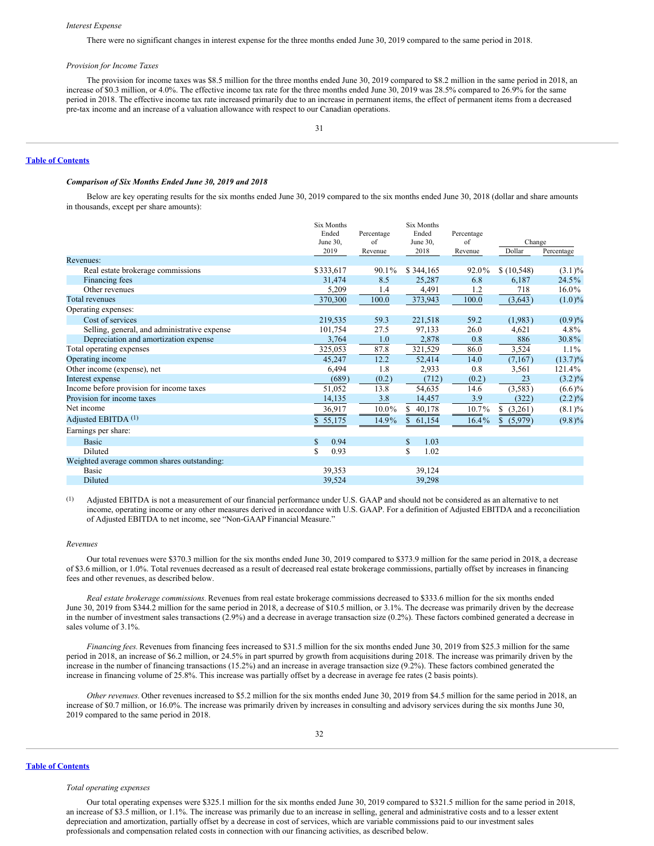#### *Interest Expense*

There were no significant changes in interest expense for the three months ended June 30, 2019 compared to the same period in 2018.

#### *Provision for Income Taxes*

The provision for income taxes was \$8.5 million for the three months ended June 30, 2019 compared to \$8.2 million in the same period in 2018, an increase of \$0.3 million, or 4.0%. The effective income tax rate for the three months ended June 30, 2019 was 28.5% compared to 26.9% for the same period in 2018. The effective income tax rate increased primarily due to an increase in permanent items, the effect of permanent items from a decreased pre-tax income and an increase of a valuation allowance with respect to our Canadian operations.

31

#### **Table of [Contents](#page-1-0)**

#### *Comparison of Six Months Ended June 30, 2019 and 2018*

Below are key operating results for the six months ended June 30, 2019 compared to the six months ended June 30, 2018 (dollar and share amounts in thousands, except per share amounts):

|                                              | Six Months<br>Ended<br>June 30, | Percentage<br>of | <b>Six Months</b><br>Ended<br>June 30, | Percentage<br>of | Change        |            |
|----------------------------------------------|---------------------------------|------------------|----------------------------------------|------------------|---------------|------------|
|                                              | 2019                            | Revenue          | 2018                                   | Revenue          | Dollar        | Percentage |
| Revenues:                                    |                                 |                  |                                        |                  |               |            |
| Real estate brokerage commissions            | \$333,617                       | $90.1\%$         | \$344,165                              | 92.0%            | \$(10,548)    | $(3.1)\%$  |
| Financing fees                               | 31,474                          | 8.5              | 25,287                                 | 6.8              | 6,187         | 24.5%      |
| Other revenues                               | 5,209                           | 1.4              | 4,491                                  | 1.2              | 718           | 16.0%      |
| Total revenues                               | 370,300                         | 100.0            | 373,943                                | 100.0            | (3,643)       | $(1.0)\%$  |
| Operating expenses:                          |                                 |                  |                                        |                  |               |            |
| Cost of services                             | 219,535                         | 59.3             | 221,518                                | 59.2             | (1,983)       | $(0.9)\%$  |
| Selling, general, and administrative expense | 101,754                         | 27.5             | 97,133                                 | 26.0             | 4,621         | 4.8%       |
| Depreciation and amortization expense        | 3,764                           | 1.0              | 2,878                                  | 0.8              | 886           | 30.8%      |
| Total operating expenses                     | 325,053                         | 87.8             | 321,529                                | 86.0             | 3,524         | $1.1\%$    |
| Operating income                             | 45,247                          | 12.2             | 52,414                                 | 14.0             | (7,167)       | $(13.7)\%$ |
| Other income (expense), net                  | 6,494                           | 1.8              | 2,933                                  | 0.8              | 3,561         | 121.4%     |
| Interest expense                             | (689)                           | (0.2)            | (712)                                  | (0.2)            | 23            | $(3.2)\%$  |
| Income before provision for income taxes     | 51,052                          | 13.8             | 54,635                                 | 14.6             | (3,583)       | $(6.6)\%$  |
| Provision for income taxes                   | 14,135                          | 3.8              | 14,457                                 | 3.9              | (322)         | $(2.2)\%$  |
| Net income                                   | 36,917                          | $10.0\%$         | 40,178<br>S                            | 10.7%            | (3,261)<br>\$ | $(8.1)\%$  |
| Adjusted EBITDA (1)                          | \$55,175                        | 14.9%            | <sup>\$</sup><br>61,154                | $16.4\%$         | (5,979)<br>S. | $(9.8)\%$  |
| Earnings per share:                          |                                 |                  |                                        |                  |               |            |
| <b>Basic</b>                                 | 0.94<br>\$                      |                  | \$<br>1.03                             |                  |               |            |
| Diluted                                      | \$<br>0.93                      |                  | 1.02<br>\$                             |                  |               |            |
| Weighted average common shares outstanding:  |                                 |                  |                                        |                  |               |            |
| Basic                                        | 39,353                          |                  | 39,124                                 |                  |               |            |
| Diluted                                      | 39,524                          |                  | 39,298                                 |                  |               |            |

(1) Adjusted EBITDA is not a measurement of our financial performance under U.S. GAAP and should not be considered as an alternative to net income, operating income or any other measures derived in accordance with U.S. GAAP. For a definition of Adjusted EBITDA and a reconciliation of Adjusted EBITDA to net income, see "Non-GAAP Financial Measure."

#### *Revenues*

Our total revenues were \$370.3 million for the six months ended June 30, 2019 compared to \$373.9 million for the same period in 2018, a decrease of \$3.6 million, or 1.0%. Total revenues decreased as a result of decreased real estate brokerage commissions, partially offset by increases in financing fees and other revenues, as described below.

*Real estate brokerage commissions.* Revenues from real estate brokerage commissions decreased to \$333.6 million for the six months ended June 30, 2019 from \$344.2 million for the same period in 2018, a decrease of \$10.5 million, or 3.1%. The decrease was primarily driven by the decrease in the number of investment sales transactions (2.9%) and a decrease in average transaction size (0.2%). These factors combined generated a decrease in sales volume of 3.1%.

*Financing fees.* Revenues from financing fees increased to \$31.5 million for the six months ended June 30, 2019 from \$25.3 million for the same period in 2018, an increase of \$6.2 million, or 24.5% in part spurred by growth from acquisitions during 2018. The increase was primarily driven by the increase in the number of financing transactions (15.2%) and an increase in average transaction size (9.2%). These factors combined generated the increase in financing volume of 25.8%. This increase was partially offset by a decrease in average fee rates (2 basis points).

*Other revenues.* Other revenues increased to \$5.2 million for the six months ended June 30, 2019 from \$4.5 million for the same period in 2018, an increase of \$0.7 million, or 16.0%. The increase was primarily driven by increases in consulting and advisory services during the six months June 30, 2019 compared to the same period in 2018.

#### **Table of [Contents](#page-1-0)**

#### *Total operating expenses*

Our total operating expenses were \$325.1 million for the six months ended June 30, 2019 compared to \$321.5 million for the same period in 2018, an increase of \$3.5 million, or 1.1%. The increase was primarily due to an increase in selling, general and administrative costs and to a lesser extent depreciation and amortization, partially offset by a decrease in cost of services, which are variable commissions paid to our investment sales professionals and compensation related costs in connection with our financing activities, as described below.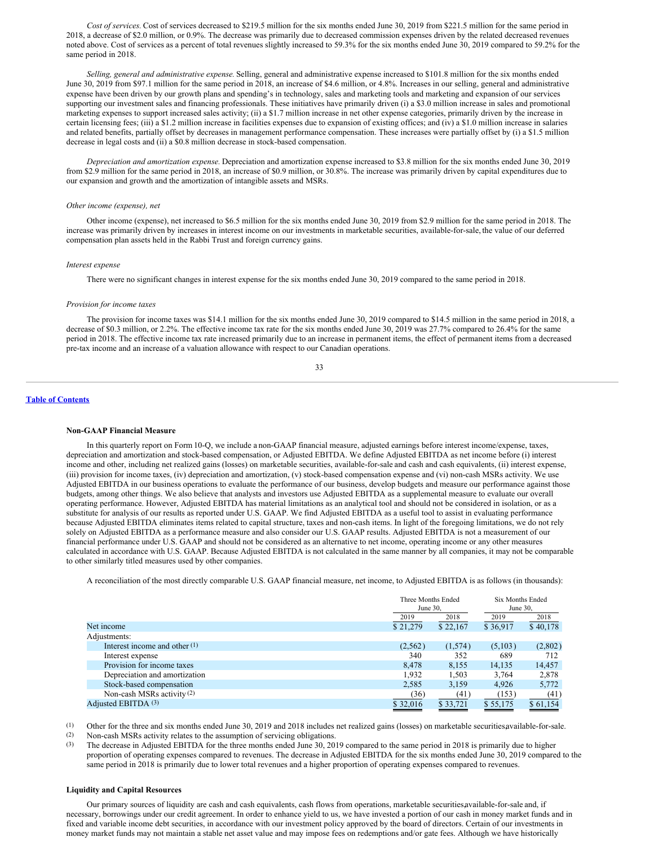*Cost of services.* Cost of services decreased to \$219.5 million for the six months ended June 30, 2019 from \$221.5 million for the same period in 2018, a decrease of \$2.0 million, or 0.9%. The decrease was primarily due to decreased commission expenses driven by the related decreased revenues noted above. Cost of services as a percent of total revenues slightly increased to 59.3% for the six months ended June 30, 2019 compared to 59.2% for the same period in 2018.

*Selling, general and administrative expense.* Selling, general and administrative expense increased to \$101.8 million for the six months ended June 30, 2019 from \$97.1 million for the same period in 2018, an increase of \$4.6 million, or 4.8%. Increases in our selling, general and administrative expense have been driven by our growth plans and spending's in technology, sales and marketing tools and marketing and expansion of our services supporting our investment sales and financing professionals. These initiatives have primarily driven (i) a \$3.0 million increase in sales and promotional marketing expenses to support increased sales activity; (ii) a \$1.7 million increase in net other expense categories, primarily driven by the increase in certain licensing fees; (iii) a \$1.2 million increase in facilities expenses due to expansion of existing offices; and (iv) a \$1.0 million increase in salaries and related benefits, partially offset by decreases in management performance compensation. These increases were partially offset by (i) a \$1.5 million decrease in legal costs and (ii) a \$0.8 million decrease in stock-based compensation.

*Depreciation and amortization expense.* Depreciation and amortization expense increased to \$3.8 million for the six months ended June 30, 2019 from \$2.9 million for the same period in 2018, an increase of \$0.9 million, or 30.8%. The increase was primarily driven by capital expenditures due to our expansion and growth and the amortization of intangible assets and MSRs.

#### *Other income (expense), net*

Other income (expense), net increased to \$6.5 million for the six months ended June 30, 2019 from \$2.9 million for the same period in 2018. The increase was primarily driven by increases in interest income on our investments in marketable securities, available-for-sale, the value of our deferred compensation plan assets held in the Rabbi Trust and foreign currency gains.

#### *Interest expense*

There were no significant changes in interest expense for the six months ended June 30, 2019 compared to the same period in 2018.

#### *Provision for income taxes*

The provision for income taxes was \$14.1 million for the six months ended June 30, 2019 compared to \$14.5 million in the same period in 2018, a decrease of \$0.3 million, or 2.2%. The effective income tax rate for the six months ended June 30, 2019 was 27.7% compared to 26.4% for the same period in 2018. The effective income tax rate increased primarily due to an increase in permanent items, the effect of permanent items from a decreased pre-tax income and an increase of a valuation allowance with respect to our Canadian operations.

33

#### **Table of [Contents](#page-1-0)**

#### **Non-GAAP Financial Measure**

In this quarterly report on Form 10-Q, we include a non-GAAP financial measure, adjusted earnings before interest income/expense, taxes, depreciation and amortization and stock-based compensation, or Adjusted EBITDA. We define Adjusted EBITDA as net income before (i) interest income and other, including net realized gains (losses) on marketable securities, available-for-sale and cash and cash equivalents, (ii) interest expense, (iii) provision for income taxes, (iv) depreciation and amortization, (v) stock-based compensation expense and (vi) non-cash MSRs activity. We use Adjusted EBITDA in our business operations to evaluate the performance of our business, develop budgets and measure our performance against those budgets, among other things. We also believe that analysts and investors use Adjusted EBITDA as a supplemental measure to evaluate our overall operating performance. However, Adjusted EBITDA has material limitations as an analytical tool and should not be considered in isolation, or as a substitute for analysis of our results as reported under U.S. GAAP. We find Adjusted EBITDA as a useful tool to assist in evaluating performance because Adjusted EBITDA eliminates items related to capital structure, taxes and non-cash items. In light of the foregoing limitations, we do not rely solely on Adjusted EBITDA as a performance measure and also consider our U.S. GAAP results. Adjusted EBITDA is not a measurement of our financial performance under U.S. GAAP and should not be considered as an alternative to net income, operating income or any other measures calculated in accordance with U.S. GAAP. Because Adjusted EBITDA is not calculated in the same manner by all companies, it may not be comparable to other similarly titled measures used by other companies.

A reconciliation of the most directly comparable U.S. GAAP financial measure, net income, to Adjusted EBITDA is as follows (in thousands):

|                                       | Three Months Ended<br>June 30. |          | <b>Six Months Ended</b><br>June 30. |          |
|---------------------------------------|--------------------------------|----------|-------------------------------------|----------|
|                                       | 2019                           | 2018     | 2019                                | 2018     |
| Net income                            | \$21,279                       | \$22,167 | \$36.917                            | \$40,178 |
| Adjustments:                          |                                |          |                                     |          |
| Interest income and other $(1)$       | (2, 562)                       | (1,574)  | (5,103)                             | (2,802)  |
| Interest expense                      | 340                            | 352      | 689                                 | 712      |
| Provision for income taxes            | 8.478                          | 8,155    | 14,135                              | 14,457   |
| Depreciation and amortization         | 1,932                          | 1,503    | 3,764                               | 2,878    |
| Stock-based compensation              | 2,585                          | 3,159    | 4,926                               | 5,772    |
| Non-cash MSRs activity <sup>(2)</sup> | (36)                           | (41)     | (153)                               | (41)     |
| Adjusted EBITDA (3)                   | \$32,016                       | \$33,721 | \$55,175                            | \$61,154 |

(1) Other for the three and six months ended June 30, 2019 and 2018 includes net realized gains (losses) on marketable securities,available-for-sale.

(2) Non-cash MSRs activity relates to the assumption of servicing obligations.<br>(3) The decrease in Adjusted EBITDA for the three months ended June 30–20

The decrease in Adjusted EBITDA for the three months ended June 30, 2019 compared to the same period in 2018 is primarily due to higher proportion of operating expenses compared to revenues. The decrease in Adjusted EBITDA for the six months ended June 30, 2019 compared to the same period in 2018 is primarily due to lower total revenues and a higher proportion of operating expenses compared to revenues.

#### **Liquidity and Capital Resources**

Our primary sources of liquidity are cash and cash equivalents, cash flows from operations, marketable securities,available-for-sale and, if necessary, borrowings under our credit agreement. In order to enhance yield to us, we have invested a portion of our cash in money market funds and in fixed and variable income debt securities, in accordance with our investment policy approved by the board of directors. Certain of our investments in money market funds may not maintain a stable net asset value and may impose fees on redemptions and/or gate fees. Although we have historically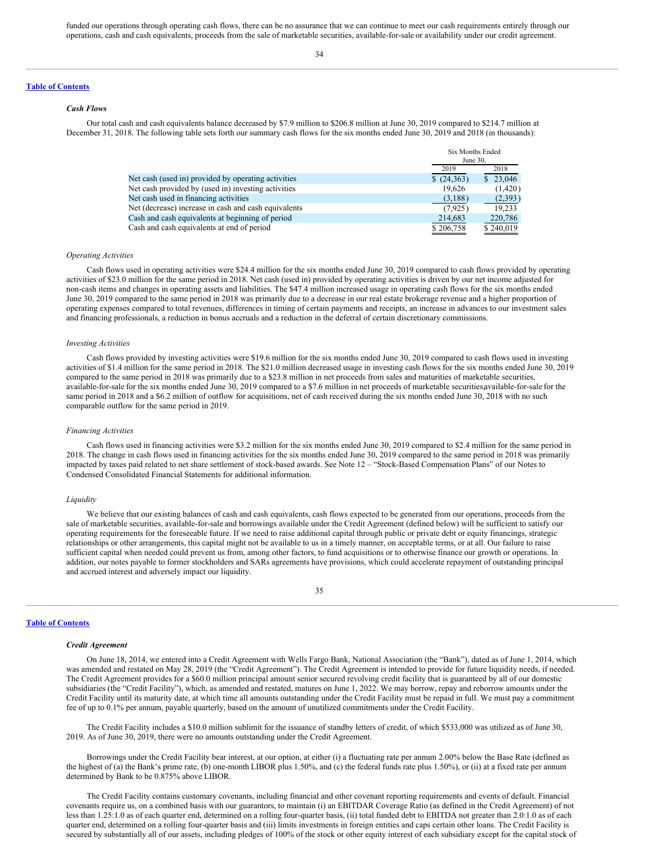#### **Table of [Contents](#page-1-0)**

#### *Cash Flows*

Our total cash and cash equivalents balance decreased by \$7.9 million to \$206.8 million at June 30, 2019 compared to \$214.7 million at December 31, 2018. The following table sets forth our summary cash flows for the six months ended June 30, 2019 and 2018 (in thousands):

| 2019<br>Net cash (used in) provided by operating activities<br>\$(24,363) | Six Months Ended<br>June 30, |           |
|---------------------------------------------------------------------------|------------------------------|-----------|
|                                                                           |                              |           |
|                                                                           |                              | 2018      |
|                                                                           |                              | \$23.046  |
| Net cash provided by (used in) investing activities<br>19,626             |                              | (1, 420)  |
| Net cash used in financing activities<br>(3,188)                          |                              | (2,393)   |
| Net (decrease) increase in cash and cash equivalents<br>(7, 925)          |                              | 19.233    |
| Cash and cash equivalents at beginning of period<br>214,683               |                              | 220,786   |
| Cash and cash equivalents at end of period<br>\$206,758                   |                              | \$240,019 |

#### *Operating Activities*

Cash flows used in operating activities were \$24.4 million for the six months ended June 30, 2019 compared to cash flows provided by operating activities of \$23.0 million for the same period in 2018. Net cash (used in) provided by operating activities is driven by our net income adjusted for non-cash items and changes in operating assets and liabilities. The \$47.4 million increased usage in operating cash flows for the six months ended June 30, 2019 compared to the same period in 2018 was primarily due to a decrease in our real estate brokerage revenue and a higher proportion of operating expenses compared to total revenues, differences in timing of certain payments and receipts, an increase in advances to our investment sales and financing professionals, a reduction in bonus accruals and a reduction in the deferral of certain discretionary commissions.

#### *Investing Activities*

Cash flows provided by investing activities were \$19.6 million for the six months ended June 30, 2019 compared to cash flows used in investing activities of \$1.4 million for the same period in 2018. The \$21.0 million decreased usage in investing cash flows for the six months ended June 30, 2019 compared to the same period in 2018 was primarily due to a \$23.8 million in net proceeds from sales and maturities of marketable securities, available-for-sale for the six months ended June 30, 2019 compared to a \$7.6 million in net proceeds of marketable securities,available-for-sale for the same period in 2018 and a \$6.2 million of outflow for acquisitions, net of cash received during the six months ended June 30, 2018 with no such comparable outflow for the same period in 2019.

#### *Financing Activities*

Cash flows used in financing activities were \$3.2 million for the six months ended June 30, 2019 compared to \$2.4 million for the same period in 2018. The change in cash flows used in financing activities for the six months ended June 30, 2019 compared to the same period in 2018 was primarily impacted by taxes paid related to net share settlement of stock-based awards. See Note 12 – "Stock-Based Compensation Plans" of our Notes to Condensed Consolidated Financial Statements for additional information.

#### *Liquidity*

We believe that our existing balances of cash and cash equivalents, cash flows expected to be generated from our operations, proceeds from the sale of marketable securities, available-for-sale and borrowings available under the Credit Agreement (defined below) will be sufficient to satisfy our operating requirements for the foreseeable future. If we need to raise additional capital through public or private debt or equity financings, strategic relationships or other arrangements, this capital might not be available to us in a timely manner, on acceptable terms, or at all. Our failure to raise sufficient capital when needed could prevent us from, among other factors, to fund acquisitions or to otherwise finance our growth or operations. In addition, our notes payable to former stockholders and SARs agreements have provisions, which could accelerate repayment of outstanding principal and accrued interest and adversely impact our liquidity.

#### 35

#### **Table of [Contents](#page-1-0)**

#### *Credit Agreement*

On June 18, 2014, we entered into a Credit Agreement with Wells Fargo Bank, National Association (the "Bank"), dated as of June 1, 2014, which was amended and restated on May 28, 2019 (the "Credit Agreement"). The Credit Agreement is intended to provide for future liquidity needs, if needed. The Credit Agreement provides for a \$60.0 million principal amount senior secured revolving credit facility that is guaranteed by all of our domestic subsidiaries (the "Credit Facility"), which, as amended and restated, matures on June 1, 2022. We may borrow, repay and reborrow amounts under the Credit Facility until its maturity date, at which time all amounts outstanding under the Credit Facility must be repaid in full. We must pay a commitment fee of up to 0.1% per annum, payable quarterly, based on the amount of unutilized commitments under the Credit Facility.

The Credit Facility includes a \$10.0 million sublimit for the issuance of standby letters of credit, of which \$533,000 was utilized as of June 30, 2019. As of June 30, 2019, there were no amounts outstanding under the Credit Agreement.

Borrowings under the Credit Facility bear interest, at our option, at either (i) a fluctuating rate per annum 2.00% below the Base Rate (defined as the highest of (a) the Bank's prime rate, (b) one-month LIBOR plus 1.50%, and (c) the federal funds rate plus 1.50%), or (ii) at a fixed rate per annum determined by Bank to be 0.875% above LIBOR.

The Credit Facility contains customary covenants, including financial and other covenant reporting requirements and events of default. Financial covenants require us, on a combined basis with our guarantors, to maintain (i) an EBITDAR Coverage Ratio (as defined in the Credit Agreement) of not less than 1.25:1.0 as of each quarter end, determined on a rolling four-quarter basis, (ii) total funded debt to EBITDA not greater than 2.0:1.0 as of each quarter end, determined on a rolling four-quarter basis and (iii) limits investments in foreign entities and caps certain other loans. The Credit Facility is secured by substantially all of our assets, including pledges of 100% of the stock or other equity interest of each subsidiary except for the capital stock of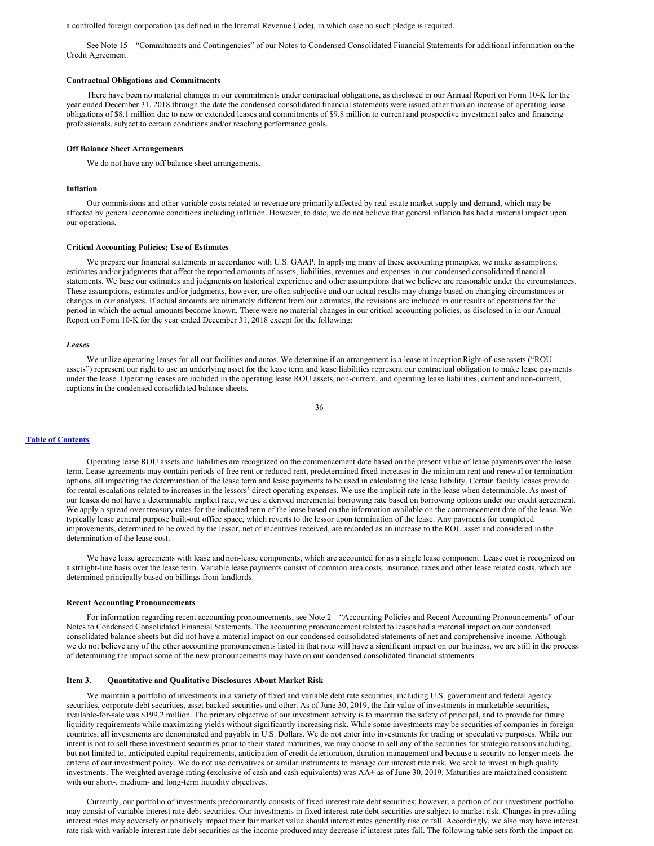a controlled foreign corporation (as defined in the Internal Revenue Code), in which case no such pledge is required.

See Note 15 – "Commitments and Contingencies" of our Notes to Condensed Consolidated Financial Statements for additional information on the Credit Agreement.

#### **Contractual Obligations and Commitments**

There have been no material changes in our commitments under contractual obligations, as disclosed in our Annual Report on Form 10-K for the year ended December 31, 2018 through the date the condensed consolidated financial statements were issued other than an increase of operating lease obligations of \$8.1 million due to new or extended leases and commitments of \$9.8 million to current and prospective investment sales and financing professionals, subject to certain conditions and/or reaching performance goals.

#### **Off Balance Sheet Arrangements**

We do not have any off balance sheet arrangements.

#### **Inflation**

Our commissions and other variable costs related to revenue are primarily affected by real estate market supply and demand, which may be affected by general economic conditions including inflation. However, to date, we do not believe that general inflation has had a material impact upon our operations.

#### **Critical Accounting Policies; Use of Estimates**

We prepare our financial statements in accordance with U.S. GAAP. In applying many of these accounting principles, we make assumptions, estimates and/or judgments that affect the reported amounts of assets, liabilities, revenues and expenses in our condensed consolidated financial statements. We base our estimates and judgments on historical experience and other assumptions that we believe are reasonable under the circumstances. These assumptions, estimates and/or judgments, however, are often subjective and our actual results may change based on changing circumstances or changes in our analyses. If actual amounts are ultimately different from our estimates, the revisions are included in our results of operations for the period in which the actual amounts become known. There were no material changes in our critical accounting policies, as disclosed in in our Annual Report on Form 10-K for the year ended December 31, 2018 except for the following:

#### *Leases*

We utilize operating leases for all our facilities and autos. We determine if an arrangement is a lease at inception.Right-of-use assets ("ROU assets") represent our right to use an underlying asset for the lease term and lease liabilities represent our contractual obligation to make lease payments under the lease. Operating leases are included in the operating lease ROU assets, non-current, and operating lease liabilities, current and non-current, captions in the condensed consolidated balance sheets.

36

#### **Table of [Contents](#page-1-0)**

Operating lease ROU assets and liabilities are recognized on the commencement date based on the present value of lease payments over the lease term. Lease agreements may contain periods of free rent or reduced rent, predetermined fixed increases in the minimum rent and renewal or termination options, all impacting the determination of the lease term and lease payments to be used in calculating the lease liability. Certain facility leases provide for rental escalations related to increases in the lessors' direct operating expenses. We use the implicit rate in the lease when determinable. As most of our leases do not have a determinable implicit rate, we use a derived incremental borrowing rate based on borrowing options under our credit agreement. We apply a spread over treasury rates for the indicated term of the lease based on the information available on the commencement date of the lease. We typically lease general purpose built-out office space, which reverts to the lessor upon termination of the lease. Any payments for completed improvements, determined to be owed by the lessor, net of incentives received, are recorded as an increase to the ROU asset and considered in the determination of the lease cost.

We have lease agreements with lease and non-lease components, which are accounted for as a single lease component. Lease cost is recognized on a straight-line basis over the lease term. Variable lease payments consist of common area costs, insurance, taxes and other lease related costs, which are determined principally based on billings from landlords.

#### **Recent Accounting Pronouncements**

For information regarding recent accounting pronouncements, see Note 2 - "Accounting Policies and Recent Accounting Pronouncements" of our Notes to Condensed Consolidated Financial Statements. The accounting pronouncement related to leases had a material impact on our condensed consolidated balance sheets but did not have a material impact on our condensed consolidated statements of net and comprehensive income. Although we do not believe any of the other accounting pronouncements listed in that note will have a significant impact on our business, we are still in the process of determining the impact some of the new pronouncements may have on our condensed consolidated financial statements.

#### <span id="page-24-0"></span>**Item 3. Quantitative and Qualitative Disclosures About Market Risk**

We maintain a portfolio of investments in a variety of fixed and variable debt rate securities, including U.S. government and federal agency securities, corporate debt securities, asset backed securities and other. As of June 30, 2019, the fair value of investments in marketable securities, available-for-sale was \$199.2 million. The primary objective of our investment activity is to maintain the safety of principal, and to provide for future liquidity requirements while maximizing yields without significantly increasing risk. While some investments may be securities of companies in foreign countries, all investments are denominated and payable in U.S. Dollars. We do not enter into investments for trading or speculative purposes. While our intent is not to sell these investment securities prior to their stated maturities, we may choose to sell any of the securities for strategic reasons including, but not limited to, anticipated capital requirements, anticipation of credit deterioration, duration management and because a security no longer meets the criteria of our investment policy. We do not use derivatives or similar instruments to manage our interest rate risk. We seek to invest in high quality investments. The weighted average rating (exclusive of cash and cash equivalents) was AA+ as of June 30, 2019. Maturities are maintained consistent with our short-, medium- and long-term liquidity objectives.

Currently, our portfolio of investments predominantly consists of fixed interest rate debt securities; however, a portion of our investment portfolio may consist of variable interest rate debt securities. Our investments in fixed interest rate debt securities are subject to market risk. Changes in prevailing interest rates may adversely or positively impact their fair market value should interest rates generally rise or fall. Accordingly, we also may have interest rate risk with variable interest rate debt securities as the income produced may decrease if interest rates fall. The following table sets forth the impact on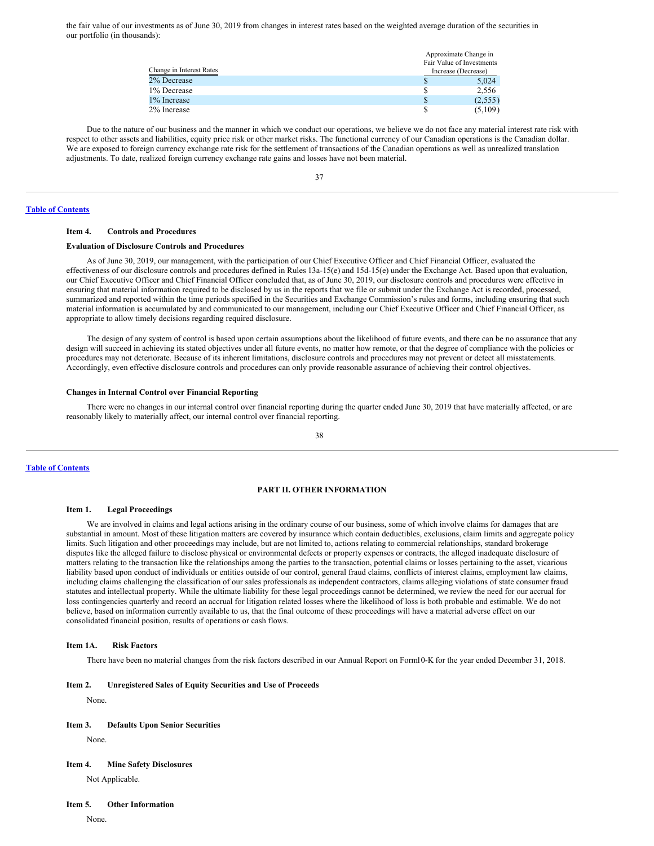the fair value of our investments as of June 30, 2019 from changes in interest rates based on the weighted average duration of the securities in our portfolio (in thousands):

|                          | Approximate Change in<br>Fair Value of Investments |         |  |
|--------------------------|----------------------------------------------------|---------|--|
| Change in Interest Rates | Increase (Decrease)                                |         |  |
| 2% Decrease              |                                                    | 5.024   |  |
| 1% Decrease              |                                                    | 2,556   |  |
| 1% Increase              |                                                    | (2,555) |  |
| 2% Increase              |                                                    | (5,109) |  |

Due to the nature of our business and the manner in which we conduct our operations, we believe we do not face any material interest rate risk with respect to other assets and liabilities, equity price risk or other market risks. The functional currency of our Canadian operations is the Canadian dollar. We are exposed to foreign currency exchange rate risk for the settlement of transactions of the Canadian operations as well as unrealized translation adjustments. To date, realized foreign currency exchange rate gains and losses have not been material.

37

#### **Table of [Contents](#page-1-0)**

#### <span id="page-25-0"></span>**Item 4. Controls and Procedures**

#### **Evaluation of Disclosure Controls and Procedures**

As of June 30, 2019, our management, with the participation of our Chief Executive Officer and Chief Financial Officer, evaluated the effectiveness of our disclosure controls and procedures defined in Rules 13a-15(e) and 15d-15(e) under the Exchange Act. Based upon that evaluation, our Chief Executive Officer and Chief Financial Officer concluded that, as of June 30, 2019, our disclosure controls and procedures were effective in ensuring that material information required to be disclosed by us in the reports that we file or submit under the Exchange Act is recorded, processed, summarized and reported within the time periods specified in the Securities and Exchange Commission's rules and forms, including ensuring that such material information is accumulated by and communicated to our management, including our Chief Executive Officer and Chief Financial Officer, as appropriate to allow timely decisions regarding required disclosure.

The design of any system of control is based upon certain assumptions about the likelihood of future events, and there can be no assurance that any design will succeed in achieving its stated objectives under all future events, no matter how remote, or that the degree of compliance with the policies or procedures may not deteriorate. Because of its inherent limitations, disclosure controls and procedures may not prevent or detect all misstatements. Accordingly, even effective disclosure controls and procedures can only provide reasonable assurance of achieving their control objectives.

#### **Changes in Internal Control over Financial Reporting**

There were no changes in our internal control over financial reporting during the quarter ended June 30, 2019 that have materially affected, or are reasonably likely to materially affect, our internal control over financial reporting.

38

#### **Table of [Contents](#page-1-0)**

#### **PART II. OTHER INFORMATION**

#### <span id="page-25-2"></span><span id="page-25-1"></span>**Item 1. Legal Proceedings**

We are involved in claims and legal actions arising in the ordinary course of our business, some of which involve claims for damages that are substantial in amount. Most of these litigation matters are covered by insurance which contain deductibles, exclusions, claim limits and aggregate policy limits. Such litigation and other proceedings may include, but are not limited to, actions relating to commercial relationships, standard brokerage disputes like the alleged failure to disclose physical or environmental defects or property expenses or contracts, the alleged inadequate disclosure of matters relating to the transaction like the relationships among the parties to the transaction, potential claims or losses pertaining to the asset, vicarious liability based upon conduct of individuals or entities outside of our control, general fraud claims, conflicts of interest claims, employment law claims, including claims challenging the classification of our sales professionals as independent contractors, claims alleging violations of state consumer fraud statutes and intellectual property. While the ultimate liability for these legal proceedings cannot be determined, we review the need for our accrual for loss contingencies quarterly and record an accrual for litigation related losses where the likelihood of loss is both probable and estimable. We do not believe, based on information currently available to us, that the final outcome of these proceedings will have a material adverse effect on our consolidated financial position, results of operations or cash flows.

#### **Item 1A. Risk Factors**

<span id="page-25-3"></span>There have been no material changes from the risk factors described in our Annual Report on Form10-K for the year ended December 31, 2018.

#### **Item 2. Unregistered Sales of Equity Securities and Use of Proceeds**

<span id="page-25-4"></span>None.

#### **Item 3. Defaults Upon Senior Securities**

<span id="page-25-5"></span>None.

#### **Item 4. Mine Safety Disclosures**

<span id="page-25-6"></span>Not Applicable.

#### **Item 5. Other Information**

<span id="page-25-7"></span>None.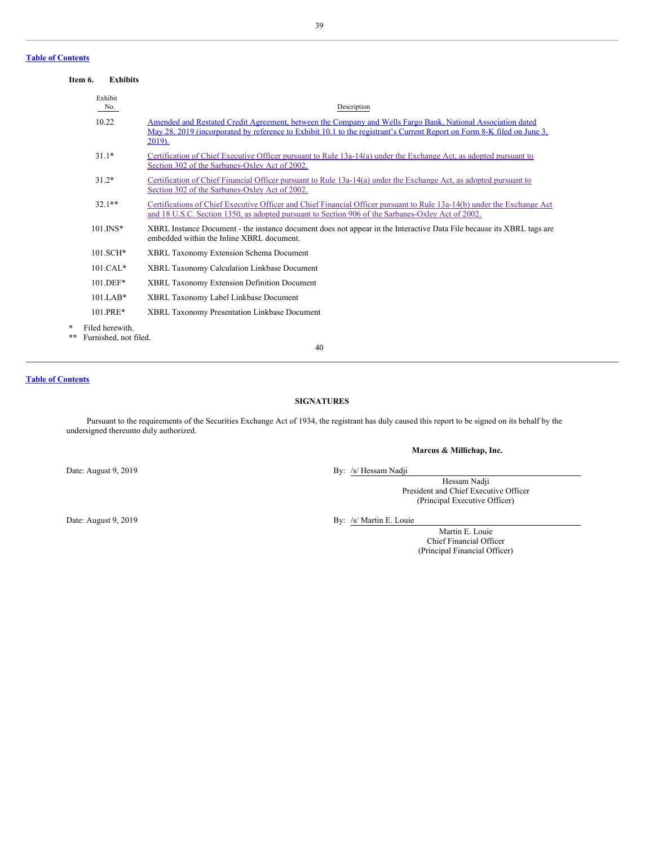#### **Table of [Contents](#page-1-0)**

<span id="page-26-0"></span>

| Item 6.          | <b>Exhibits</b>                          |                                                                                                                                                                                                                                                     |
|------------------|------------------------------------------|-----------------------------------------------------------------------------------------------------------------------------------------------------------------------------------------------------------------------------------------------------|
|                  | Exhibit<br>No.                           | Description                                                                                                                                                                                                                                         |
|                  | 10.22                                    | Amended and Restated Credit Agreement, between the Company and Wells Fargo Bank, National Association dated<br>May 28, 2019 (incorporated by reference to Exhibit 10.1 to the registrant's Current Report on Form 8-K filed on June 3,<br>$2019$ ). |
|                  | $31.1*$                                  | Certification of Chief Executive Officer pursuant to Rule 13a-14(a) under the Exchange Act, as adopted pursuant to<br>Section 302 of the Sarbanes-Oxley Act of 2002.                                                                                |
|                  | $31.2*$                                  | Certification of Chief Financial Officer pursuant to Rule 13a-14(a) under the Exchange Act, as adopted pursuant to<br>Section 302 of the Sarbanes-Oxley Act of 2002.                                                                                |
|                  | $32.1**$                                 | Certifications of Chief Executive Officer and Chief Financial Officer pursuant to Rule 13a-14(b) under the Exchange Act<br>and 18 U.S.C. Section 1350, as adopted pursuant to Section 906 of the Sarbanes-Oxley Act of 2002.                        |
|                  | $101.$ INS*                              | XBRL Instance Document - the instance document does not appear in the Interactive Data File because its XBRL tags are<br>embedded within the Inline XBRL document.                                                                                  |
|                  | $101.SCH*$                               | <b>XBRL Taxonomy Extension Schema Document</b>                                                                                                                                                                                                      |
|                  | $101.CAL*$                               | XBRL Taxonomy Calculation Linkbase Document                                                                                                                                                                                                         |
|                  | $101.DEF*$                               | XBRL Taxonomy Extension Definition Document                                                                                                                                                                                                         |
|                  | $101.LAB*$                               | XBRL Taxonomy Label Linkbase Document                                                                                                                                                                                                               |
|                  | 101.PRE*                                 | XBRL Taxonomy Presentation Linkbase Document                                                                                                                                                                                                        |
| $\star$<br>$* *$ | Filed herewith.<br>Furnished, not filed. |                                                                                                                                                                                                                                                     |

**Table of [Contents](#page-1-0)**

40

#### **SIGNATURES**

<span id="page-26-1"></span>Pursuant to the requirements of the Securities Exchange Act of 1934, the registrant has duly caused this report to be signed on its behalf by the undersigned thereunto duly authorized.

#### **Marcus & Millichap, Inc.**

Date: August 9, 2019 By: /s/ Hessam Nadji

Hessam Nadji President and Chief Executive Officer (Principal Executive Officer)

Date: August 9, 2019 By: /s/ Martin E. Louie

Martin E. Louie Chief Financial Officer (Principal Financial Officer)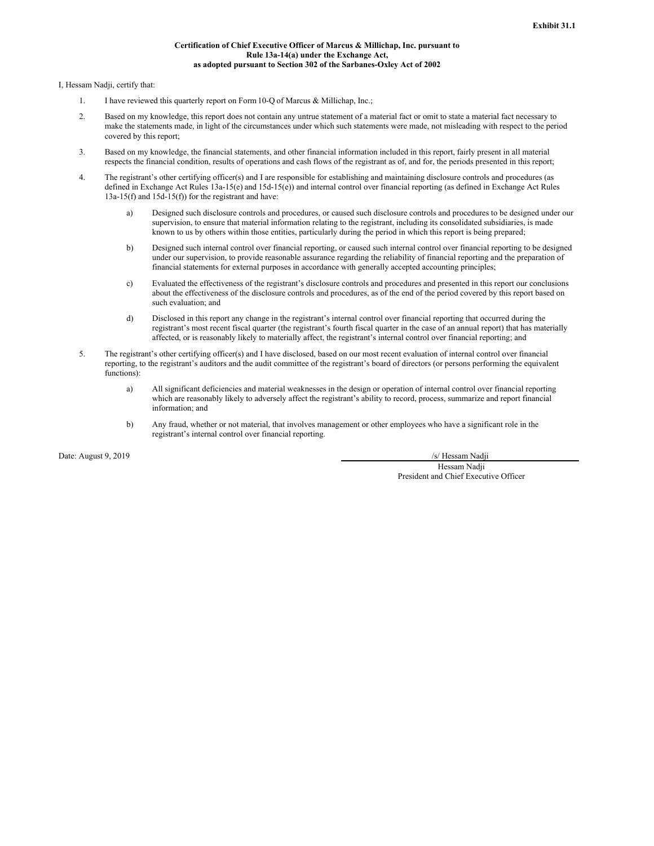#### **Certification of Chief Executive Officer of Marcus & Millichap, Inc. pursuant to Rule 13a-14(a) under the Exchange Act, as adopted pursuant to Section 302 of the Sarbanes-Oxley Act of 2002**

<span id="page-27-0"></span>I, Hessam Nadji, certify that:

- 1. I have reviewed this quarterly report on Form10-Q of Marcus & Millichap, Inc.;
- 2. Based on my knowledge, this report does not contain any untrue statement of a material fact or omit to state a material fact necessary to make the statements made, in light of the circumstances under which such statements were made, not misleading with respect to the period covered by this report;
- 3. Based on my knowledge, the financial statements, and other financial information included in this report, fairly present in all material respects the financial condition, results of operations and cash flows of the registrant as of, and for, the periods presented in this report;
- 4. The registrant's other certifying officer(s) and I are responsible for establishing and maintaining disclosure controls and procedures (as defined in Exchange Act Rules 13a-15(e) and 15d-15(e)) and internal control over financial reporting (as defined in Exchange Act Rules  $13a-15(f)$  and  $15d-15(f)$  for the registrant and have:
	- a) Designed such disclosure controls and procedures, or caused such disclosure controls and procedures to be designed under our supervision, to ensure that material information relating to the registrant, including its consolidated subsidiaries, is made known to us by others within those entities, particularly during the period in which this report is being prepared;
	- b) Designed such internal control over financial reporting, or caused such internal control over financial reporting to be designed under our supervision, to provide reasonable assurance regarding the reliability of financial reporting and the preparation of financial statements for external purposes in accordance with generally accepted accounting principles;
	- c) Evaluated the effectiveness of the registrant's disclosure controls and procedures and presented in this report our conclusions about the effectiveness of the disclosure controls and procedures, as of the end of the period covered by this report based on such evaluation; and
	- d) Disclosed in this report any change in the registrant's internal control over financial reporting that occurred during the registrant's most recent fiscal quarter (the registrant's fourth fiscal quarter in the case of an annual report) that has materially affected, or is reasonably likely to materially affect, the registrant's internal control over financial reporting; and
- 5. The registrant's other certifying officer(s) and I have disclosed, based on our most recent evaluation of internal control over financial reporting, to the registrant's auditors and the audit committee of the registrant's board of directors (or persons performing the equivalent functions):
	- a) All significant deficiencies and material weaknesses in the design or operation of internal control over financial reporting which are reasonably likely to adversely affect the registrant's ability to record, process, summarize and report financial information; and
	- b) Any fraud, whether or not material, that involves management or other employees who have a significant role in the registrant's internal control over financial reporting.

Date: August 9, 2019 /s/ Hessam Nadji

Hessam Nadii President and Chief Executive Officer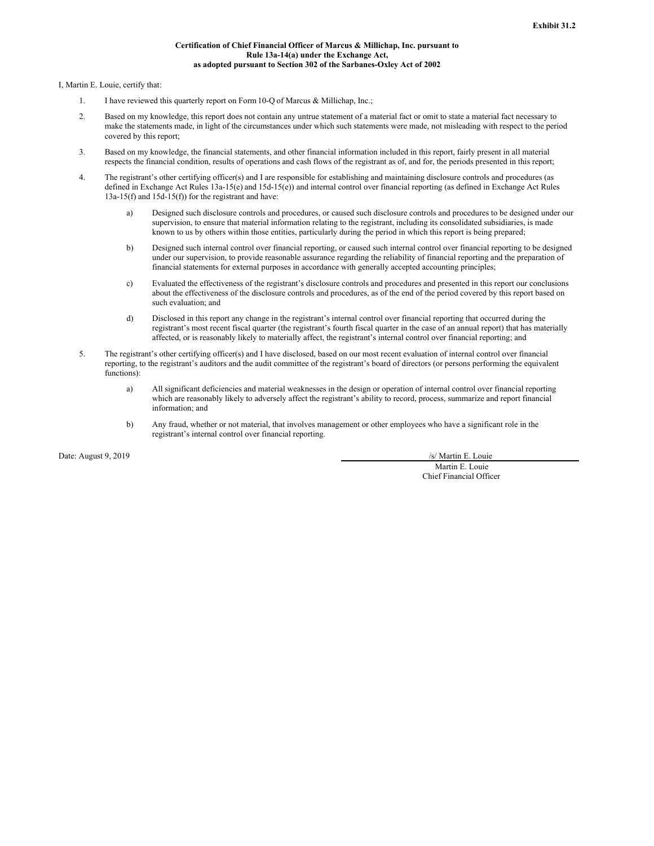#### **Certification of Chief Financial Officer of Marcus & Millichap, Inc. pursuant to Rule 13a-14(a) under the Exchange Act, as adopted pursuant to Section 302 of the Sarbanes-Oxley Act of 2002**

<span id="page-28-0"></span>I, Martin E. Louie, certify that:

- 1. I have reviewed this quarterly report on Form10-Q of Marcus & Millichap, Inc.;
- 2. Based on my knowledge, this report does not contain any untrue statement of a material fact or omit to state a material fact necessary to make the statements made, in light of the circumstances under which such statements were made, not misleading with respect to the period covered by this report;
- 3. Based on my knowledge, the financial statements, and other financial information included in this report, fairly present in all material respects the financial condition, results of operations and cash flows of the registrant as of, and for, the periods presented in this report;
- 4. The registrant's other certifying officer(s) and I are responsible for establishing and maintaining disclosure controls and procedures (as defined in Exchange Act Rules 13a-15(e) and 15d-15(e)) and internal control over financial reporting (as defined in Exchange Act Rules  $13a-15(f)$  and  $15d-15(f)$  for the registrant and have:
	- a) Designed such disclosure controls and procedures, or caused such disclosure controls and procedures to be designed under our supervision, to ensure that material information relating to the registrant, including its consolidated subsidiaries, is made known to us by others within those entities, particularly during the period in which this report is being prepared;
	- b) Designed such internal control over financial reporting, or caused such internal control over financial reporting to be designed under our supervision, to provide reasonable assurance regarding the reliability of financial reporting and the preparation of financial statements for external purposes in accordance with generally accepted accounting principles;
	- c) Evaluated the effectiveness of the registrant's disclosure controls and procedures and presented in this report our conclusions about the effectiveness of the disclosure controls and procedures, as of the end of the period covered by this report based on such evaluation; and
	- d) Disclosed in this report any change in the registrant's internal control over financial reporting that occurred during the registrant's most recent fiscal quarter (the registrant's fourth fiscal quarter in the case of an annual report) that has materially affected, or is reasonably likely to materially affect, the registrant's internal control over financial reporting; and
- 5. The registrant's other certifying officer(s) and I have disclosed, based on our most recent evaluation of internal control over financial reporting, to the registrant's auditors and the audit committee of the registrant's board of directors (or persons performing the equivalent functions):
	- a) All significant deficiencies and material weaknesses in the design or operation of internal control over financial reporting which are reasonably likely to adversely affect the registrant's ability to record, process, summarize and report financial information; and
	- b) Any fraud, whether or not material, that involves management or other employees who have a significant role in the registrant's internal control over financial reporting.

Date: August 9, 2019 /s/ Martin E. Louie

Martin E. Louie Chief Financial Officer